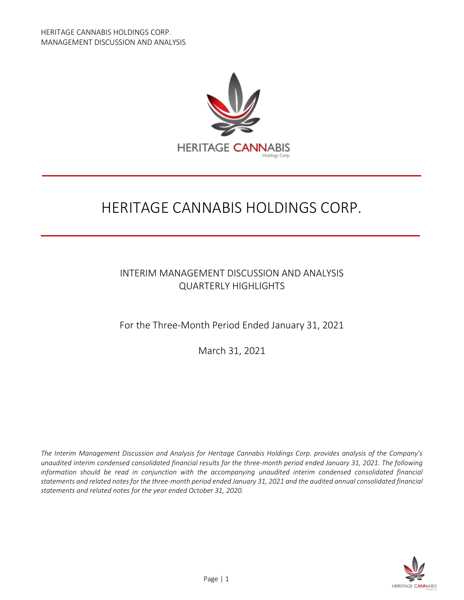

# HERITAGE CANNABIS HOLDINGS CORP.

# INTERIM MANAGEMENT DISCUSSION AND ANALYSIS QUARTERLY HIGHLIGHTS

For the Three-Month Period Ended January 31, 2021

March 31, 2021

*The Interim Management Discussion and Analysis for Heritage Cannabis Holdings Corp. provides analysis of the Company's unaudited interim condensed consolidated financial results for the three-month period ended January 31, 2021. The following information should be read in conjunction with the accompanying unaudited interim condensed consolidated financial statements and related notes for the three-month period ended January 31, 2021 and the audited annual consolidated financial statements and related notes for the year ended October 31, 2020.*

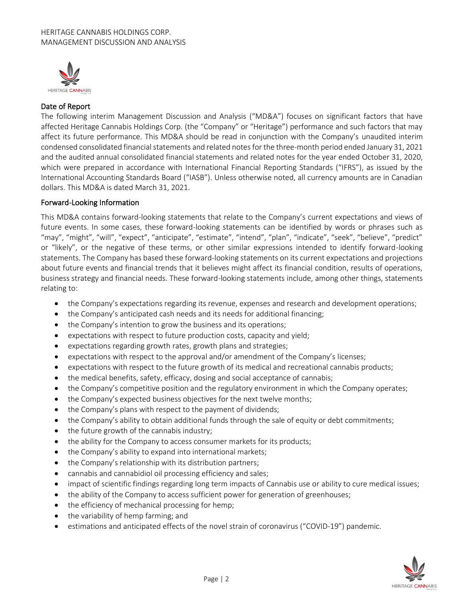

# Date of Report

The following interim Management Discussion and Analysis ("MD&A") focuses on significant factors that have affected Heritage Cannabis Holdings Corp. (the "Company" or "Heritage") performance and such factors that may affect its future performance. This MD&A should be read in conjunction with the Company's unaudited interim condensed consolidated financial statements and related notes for the three-month period ended January 31, 2021 and the audited annual consolidated financial statements and related notes for the year ended October 31, 2020, which were prepared in accordance with International Financial Reporting Standards ("IFRS"), as issued by the International Accounting Standards Board ("IASB"). Unless otherwise noted, all currency amounts are in Canadian dollars. This MD&A is dated March 31, 2021.

#### Forward-Looking Information

This MD&A contains forward-looking statements that relate to the Company's current expectations and views of future events. In some cases, these forward-looking statements can be identified by words or phrases such as "may", "might", "will", "expect", "anticipate", "estimate", "intend", "plan", "indicate", "seek", "believe", "predict" or "likely", or the negative of these terms, or other similar expressions intended to identify forward-looking statements. The Company has based these forward-looking statements on its current expectations and projections about future events and financial trends that it believes might affect its financial condition, results of operations, business strategy and financial needs. These forward-looking statements include, among other things, statements relating to:

- the Company's expectations regarding its revenue, expenses and research and development operations;
- the Company's anticipated cash needs and its needs for additional financing;
- the Company's intention to grow the business and its operations;
- expectations with respect to future production costs, capacity and yield;
- expectations regarding growth rates, growth plans and strategies;
- expectations with respect to the approval and/or amendment of the Company's licenses;
- expectations with respect to the future growth of its medical and recreational cannabis products;
- the medical benefits, safety, efficacy, dosing and social acceptance of cannabis;
- the Company's competitive position and the regulatory environment in which the Company operates;
- the Company's expected business objectives for the next twelve months;
- the Company's plans with respect to the payment of dividends;
- the Company's ability to obtain additional funds through the sale of equity or debt commitments;
- the future growth of the cannabis industry;
- the ability for the Company to access consumer markets for its products;
- the Company's ability to expand into international markets;
- the Company's relationship with its distribution partners;
- cannabis and cannabidiol oil processing efficiency and sales;
- impact of scientific findings regarding long term impacts of Cannabis use or ability to cure medical issues;
- the ability of the Company to access sufficient power for generation of greenhouses;
- the efficiency of mechanical processing for hemp;
- the variability of hemp farming; and
- estimations and anticipated effects of the novel strain of coronavirus ("COVID-19") pandemic.

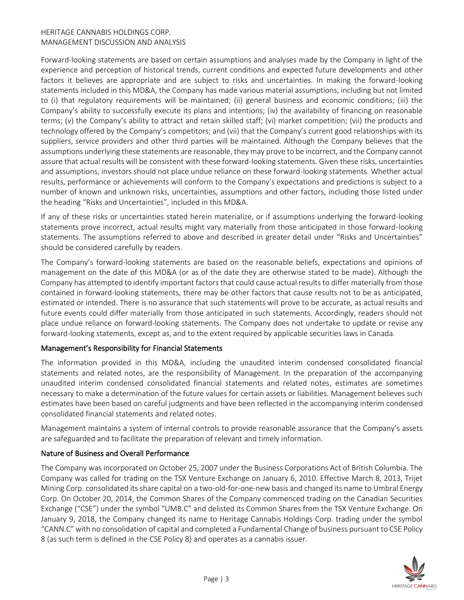Forward-looking statements are based on certain assumptions and analyses made by the Company in light of the experience and perception of historical trends, current conditions and expected future developments and other factors it believes are appropriate and are subject to risks and uncertainties. In making the forward-looking statements included in this MD&A, the Company has made various material assumptions, including but not limited to (i) that regulatory requirements will be maintained; (ii) general business and economic conditions; (iii) the Company's ability to successfully execute its plans and intentions; (iv) the availability of financing on reasonable terms; (v) the Company's ability to attract and retain skilled staff; (vi) market competition; (vii) the products and technology offered by the Company's competitors; and (vii) that the Company's current good relationships with its suppliers, service providers and other third parties will be maintained. Although the Company believes that the assumptions underlying these statements are reasonable, they may prove to be incorrect, and the Company cannot assure that actual results will be consistent with these forward-looking statements. Given these risks, uncertainties and assumptions, investors should not place undue reliance on these forward-looking statements. Whether actual results, performance or achievements will conform to the Company's expectations and predictions is subject to a number of known and unknown risks, uncertainties, assumptions and other factors, including those listed under the heading "Risks and Uncertainties", included in this MD&A.

If any of these risks or uncertainties stated herein materialize, or if assumptions underlying the forward-looking statements prove incorrect, actual results might vary materially from those anticipated in those forward-looking statements. The assumptions referred to above and described in greater detail under "Risks and Uncertainties" should be considered carefully by readers.

The Company's forward-looking statements are based on the reasonable beliefs, expectations and opinions of management on the date of this MD&A (or as of the date they are otherwise stated to be made). Although the Company has attempted to identify important factors that could cause actual results to differ materially from those contained in forward-looking statements, there may be other factors that cause results not to be as anticipated, estimated or intended. There is no assurance that such statements will prove to be accurate, as actual results and future events could differ materially from those anticipated in such statements. Accordingly, readers should not place undue reliance on forward-looking statements. The Company does not undertake to update or revise any forward-looking statements, except as, and to the extent required by applicable securities laws in Canada.

#### Management's Responsibility for Financial Statements

The information provided in this MD&A, including the unaudited interim condensed consolidated financial statements and related notes, are the responsibility of Management. In the preparation of the accompanying unaudited interim condensed consolidated financial statements and related notes, estimates are sometimes necessary to make a determination of the future values for certain assets or liabilities. Management believes such estimates have been based on careful judgments and have been reflected in the accompanying interim condensed consolidated financial statements and related notes.

Management maintains a system of internal controls to provide reasonable assurance that the Company's assets are safeguarded and to facilitate the preparation of relevant and timely information.

#### Nature of Business and Overall Performance

The Company was incorporated on October 25, 2007 under the Business Corporations Act of British Columbia. The Company was called for trading on the TSX Venture Exchange on January 6, 2010. Effective March 8, 2013, Trijet Mining Corp. consolidated its share capital on a two-old-for-one-new basis and changed its name to Umbral Energy Corp. On October 20, 2014, the Common Shares of the Company commenced trading on the Canadian Securities Exchange ("CSE") under the symbol "UMB.C" and delisted its Common Shares from the TSX Venture Exchange. On January 9, 2018, the Company changed its name to Heritage Cannabis Holdings Corp. trading under the symbol "CANN.C" with no consolidation of capital and completed a Fundamental Change of business pursuant to CSE Policy 8 (as such term is defined in the CSE Policy 8) and operates as a cannabis issuer.

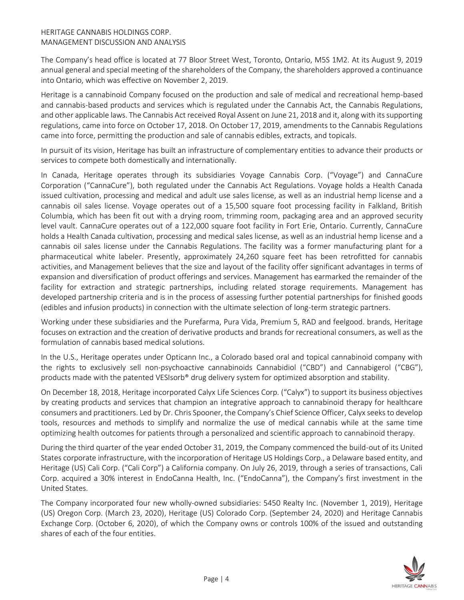The Company's head office is located at 77 Bloor Street West, Toronto, Ontario, M5S 1M2. At its August 9, 2019 annual general and special meeting of the shareholders of the Company, the shareholders approved a continuance into Ontario, which was effective on November 2, 2019.

Heritage is a cannabinoid Company focused on the production and sale of medical and recreational hemp-based and cannabis-based products and services which is regulated under the Cannabis Act, the Cannabis Regulations, and other applicable laws. The Cannabis Act received Royal Assent on June 21, 2018 and it, along with its supporting regulations, came into force on October 17, 2018. On October 17, 2019, amendments to the Cannabis Regulations came into force, permitting the production and sale of cannabis edibles, extracts, and topicals.

In pursuit of its vision, Heritage has built an infrastructure of complementary entities to advance their products or services to compete both domestically and internationally.

In Canada, Heritage operates through its subsidiaries Voyage Cannabis Corp. ("Voyage") and CannaCure Corporation ("CannaCure"), both regulated under the Cannabis Act Regulations. Voyage holds a Health Canada issued cultivation, processing and medical and adult use sales license, as well as an industrial hemp license and a cannabis oil sales license. Voyage operates out of a 15,500 square foot processing facility in Falkland, British Columbia, which has been fit out with a drying room, trimming room, packaging area and an approved security level vault. CannaCure operates out of a 122,000 square foot facility in Fort Erie, Ontario. Currently, CannaCure holds a Health Canada cultivation, processing and medical sales license, as well as an industrial hemp license and a cannabis oil sales license under the Cannabis Regulations. The facility was a former manufacturing plant for a pharmaceutical white labeler. Presently, approximately 24,260 square feet has been retrofitted for cannabis activities, and Management believes that the size and layout of the facility offer significant advantages in terms of expansion and diversification of product offerings and services. Management has earmarked the remainder of the facility for extraction and strategic partnerships, including related storage requirements. Management has developed partnership criteria and is in the process of assessing further potential partnerships for finished goods (edibles and infusion products) in connection with the ultimate selection of long-term strategic partners.

Working under these subsidiaries and the Purefarma, Pura Vida, Premium 5, RAD and feelgood. brands, Heritage focuses on extraction and the creation of derivative products and brands for recreational consumers, as well as the formulation of cannabis based medical solutions.

In the U.S., Heritage operates under Opticann Inc., a Colorado based oral and topical cannabinoid company with the rights to exclusively sell non-psychoactive cannabinoids Cannabidiol ("CBD") and Cannabigerol ("CBG"), products made with the patented VESIsorb® drug delivery system for optimized absorption and stability.

On December 18, 2018, Heritage incorporated Calyx Life Sciences Corp. ("Calyx") to support its business objectives by creating products and services that champion an integrative approach to cannabinoid therapy for healthcare consumers and practitioners. Led by Dr. Chris Spooner, the Company's Chief Science Officer, Calyx seeks to develop tools, resources and methods to simplify and normalize the use of medical cannabis while at the same time optimizing health outcomes for patients through a personalized and scientific approach to cannabinoid therapy.

During the third quarter of the year ended October 31, 2019, the Company commenced the build-out of its United States corporate infrastructure, with the incorporation of Heritage US Holdings Corp., a Delaware based entity, and Heritage (US) Cali Corp. ("Cali Corp") a California company. On July 26, 2019, through a series of transactions, Cali Corp. acquired a 30% interest in EndoCanna Health, Inc. ("EndoCanna"), the Company's first investment in the United States.

The Company incorporated four new wholly-owned subsidiaries: 5450 Realty Inc. (November 1, 2019), Heritage (US) Oregon Corp. (March 23, 2020), Heritage (US) Colorado Corp. (September 24, 2020) and Heritage Cannabis Exchange Corp. (October 6, 2020), of which the Company owns or controls 100% of the issued and outstanding shares of each of the four entities.

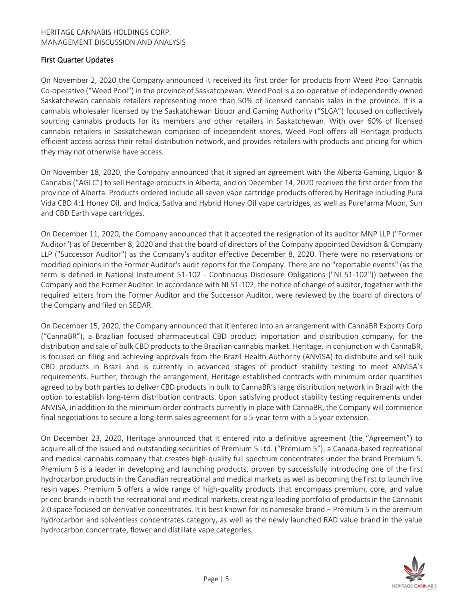# First Quarter Updates

On November 2, 2020 the Company announced it received its first order for products from Weed Pool Cannabis Co-operative ("Weed Pool") in the province of Saskatchewan. Weed Pool is a co-operative of independently-owned Saskatchewan cannabis retailers representing more than 50% of licensed cannabis sales in the province. It is a cannabis wholesaler licensed by the Saskatchewan Liquor and Gaming Authority ("SLGA") focused on collectively sourcing cannabis products for its members and other retailers in Saskatchewan. With over 60% of licensed cannabis retailers in Saskatchewan comprised of independent stores, Weed Pool offers all Heritage products efficient access across their retail distribution network, and provides retailers with products and pricing for which they may not otherwise have access.

On November 18, 2020, the Company announced that it signed an agreement with the Alberta Gaming, Liquor & Cannabis ("AGLC") to sell Heritage products in Alberta, and on December 14, 2020 received the first order from the province of Alberta. Products ordered include all seven vape cartridge products offered by Heritage including Pura Vida CBD 4:1 Honey Oil, and Indica, Sativa and Hybrid Honey Oil vape cartridges, as well as Purefarma Moon, Sun and CBD Earth vape cartridges.

On December 11, 2020, the Company announced that it accepted the resignation of its auditor MNP LLP ("Former Auditor") as of December 8, 2020 and that the board of directors of the Company appointed Davidson & Company LLP ("Successor Auditor") as the Company's auditor effective December 8, 2020. There were no reservations or modified opinions in the Former Auditor's audit reports for the Company. There are no "reportable events" (as the term is defined in National Instrument 51-102 - Continuous Disclosure Obligations ("NI 51-102")) between the Company and the Former Auditor. In accordance with NI 51-102, the notice of change of auditor, together with the required letters from the Former Auditor and the Successor Auditor, were reviewed by the board of directors of the Company and filed on SEDAR.

On December 15, 2020, the Company announced that it entered into an arrangement with CannaBR Exports Corp ("CannaBR"), a Brazilian focused pharmaceutical CBD product importation and distribution company, for the distribution and sale of bulk CBD products to the Brazilian cannabis market. Heritage, in conjunction with CannaBR, is focused on filing and achieving approvals from the Brazil Health Authority (ANVISA) to distribute and sell bulk CBD products in Brazil and is currently in advanced stages of product stability testing to meet ANVISA's requirements. Further, through the arrangement, Heritage established contracts with minimum order quantities agreed to by both parties to deliver CBD products in bulk to CannaBR's large distribution network in Brazil with the option to establish long-term distribution contracts. Upon satisfying product stability testing requirements under ANVISA, in addition to the minimum order contracts currently in place with CannaBR, the Company will commence final negotiations to secure a long-term sales agreement for a 5-year term with a 5 year extension.

On December 23, 2020, Heritage announced that it entered into a definitive agreement (the "Agreement") to acquire all of the issued and outstanding securities of Premium 5 Ltd. ("Premium 5"), a Canada-based recreational and medical cannabis company that creates high-quality full spectrum concentrates under the brand Premium 5. Premium 5 is a leader in developing and launching products, proven by successfully introducing one of the first hydrocarbon products in the Canadian recreational and medical markets as well as becoming the first to launch live resin vapes. Premium 5 offers a wide range of high-quality products that encompass premium, core, and value priced brands in both the recreational and medical markets, creating a leading portfolio of products in the Cannabis 2.0 space focused on derivative concentrates. It is best known for its namesake brand – Premium 5 in the premium hydrocarbon and solventless concentrates category, as well as the newly launched RAD value brand in the value hydrocarbon concentrate, flower and distillate vape categories.

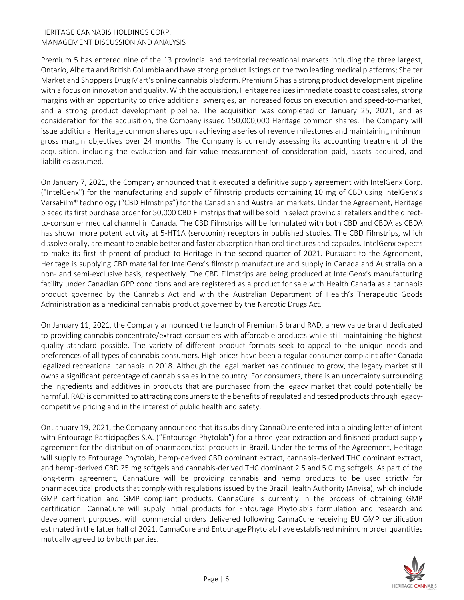Premium 5 has entered nine of the 13 provincial and territorial recreational markets including the three largest, Ontario, Alberta and British Columbia and have strong product listings on the two leading medical platforms; Shelter Market and Shoppers Drug Mart's online cannabis platform. Premium 5 has a strong product development pipeline with a focus on innovation and quality. With the acquisition, Heritage realizes immediate coast to coast sales, strong margins with an opportunity to drive additional synergies, an increased focus on execution and speed-to-market, and a strong product development pipeline. The acquisition was completed on January 25, 2021, and as consideration for the acquisition, the Company issued 150,000,000 Heritage common shares. The Company will issue additional Heritage common shares upon achieving a series of revenue milestones and maintaining minimum gross margin objectives over 24 months. The Company is currently assessing its accounting treatment of the acquisition, including the evaluation and fair value measurement of consideration paid, assets acquired, and liabilities assumed.

On January 7, 2021, the Company announced that it executed a definitive supply agreement with IntelGenx Corp. ("IntelGenx") for the manufacturing and supply of filmstrip products containing 10 mg of CBD using IntelGenx's VersaFilm® technology ("CBD Filmstrips") for the Canadian and Australian markets. Under the Agreement, Heritage placed its first purchase order for 50,000 CBD Filmstrips that will be sold in select provincial retailers and the directto-consumer medical channel in Canada. The CBD Filmstrips will be formulated with both CBD and CBDA as CBDA has shown more potent activity at 5-HT1A (serotonin) receptors in published studies. The CBD Filmstrips, which dissolve orally, are meant to enable better and faster absorption than oral tinctures and capsules. IntelGenx expects to make its first shipment of product to Heritage in the second quarter of 2021. Pursuant to the Agreement, Heritage is supplying CBD material for IntelGenx's filmstrip manufacture and supply in Canada and Australia on a non- and semi-exclusive basis, respectively. The CBD Filmstrips are being produced at IntelGenx's manufacturing facility under Canadian GPP conditions and are registered as a product for sale with Health Canada as a cannabis product governed by the Cannabis Act and with the Australian Department of Health's Therapeutic Goods Administration as a medicinal cannabis product governed by the Narcotic Drugs Act.

On January 11, 2021, the Company announced the launch of Premium 5 brand RAD, a new value brand dedicated to providing cannabis concentrate/extract consumers with affordable products while still maintaining the highest quality standard possible. The variety of different product formats seek to appeal to the unique needs and preferences of all types of cannabis consumers. High prices have been a regular consumer complaint after Canada legalized recreational cannabis in 2018. Although the legal market has continued to grow, the legacy market still owns a significant percentage of cannabis sales in the country. For consumers, there is an uncertainty surrounding the ingredients and additives in products that are purchased from the legacy market that could potentially be harmful. RAD is committed to attracting consumers to the benefits of regulated and tested products through legacycompetitive pricing and in the interest of public health and safety.

On January 19, 2021, the Company announced that its subsidiary CannaCure entered into a binding letter of intent with Entourage Participações S.A. ("Entourage Phytolab") for a three-year extraction and finished product supply agreement for the distribution of pharmaceutical products in Brazil. Under the terms of the Agreement, Heritage will supply to Entourage Phytolab, hemp-derived CBD dominant extract, cannabis-derived THC dominant extract, and hemp-derived CBD 25 mg softgels and cannabis-derived THC dominant 2.5 and 5.0 mg softgels. As part of the long-term agreement, CannaCure will be providing cannabis and hemp products to be used strictly for pharmaceutical products that comply with regulations issued by the Brazil Health Authority (Anvisa), which include GMP certification and GMP compliant products. CannaCure is currently in the process of obtaining GMP certification. CannaCure will supply initial products for Entourage Phytolab's formulation and research and development purposes, with commercial orders delivered following CannaCure receiving EU GMP certification estimated in the latter half of 2021. CannaCure and Entourage Phytolab have established minimum order quantities mutually agreed to by both parties.

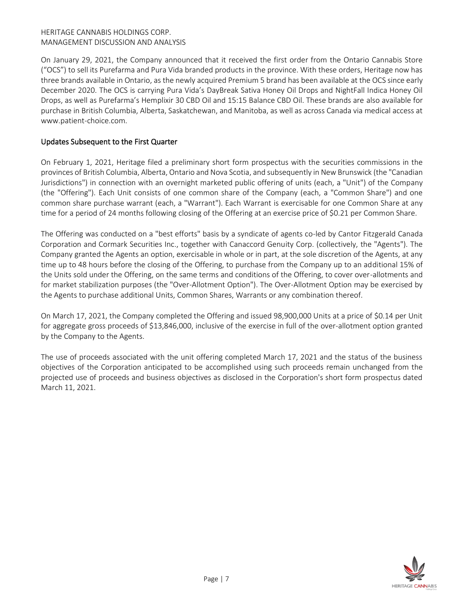On January 29, 2021, the Company announced that it received the first order from the Ontario Cannabis Store ("OCS") to sell its Purefarma and Pura Vida branded products in the province. With these orders, Heritage now has three brands available in Ontario, as the newly acquired Premium 5 brand has been available at the OCS since early December 2020. The OCS is carrying Pura Vida's DayBreak Sativa Honey Oil Drops and NightFall Indica Honey Oil Drops, as well as Purefarma's Hemplixir 30 CBD Oil and 15:15 Balance CBD Oil. These brands are also available for purchase in British Columbia, Alberta, Saskatchewan, and Manitoba, as well as across Canada via medical access at www.patient-choice.com.

# Updates Subsequent to the First Quarter

On February 1, 2021, Heritage filed a preliminary short form prospectus with the securities commissions in the provinces of British Columbia, Alberta, Ontario and Nova Scotia, and subsequently in New Brunswick (the "Canadian Jurisdictions") in connection with an overnight marketed public offering of units (each, a "Unit") of the Company (the "Offering"). Each Unit consists of one common share of the Company (each, a "Common Share") and one common share purchase warrant (each, a "Warrant"). Each Warrant is exercisable for one Common Share at any time for a period of 24 months following closing of the Offering at an exercise price of \$0.21 per Common Share.

The Offering was conducted on a "best efforts" basis by a syndicate of agents co-led by Cantor Fitzgerald Canada Corporation and Cormark Securities Inc., together with Canaccord Genuity Corp. (collectively, the "Agents"). The Company granted the Agents an option, exercisable in whole or in part, at the sole discretion of the Agents, at any time up to 48 hours before the closing of the Offering, to purchase from the Company up to an additional 15% of the Units sold under the Offering, on the same terms and conditions of the Offering, to cover over-allotments and for market stabilization purposes (the "Over-Allotment Option"). The Over-Allotment Option may be exercised by the Agents to purchase additional Units, Common Shares, Warrants or any combination thereof.

On March 17, 2021, the Company completed the Offering and issued 98,900,000 Units at a price of \$0.14 per Unit for aggregate gross proceeds of \$13,846,000, inclusive of the exercise in full of the over-allotment option granted by the Company to the Agents.

The use of proceeds associated with the unit offering completed March 17, 2021 and the status of the business objectives of the Corporation anticipated to be accomplished using such proceeds remain unchanged from the projected use of proceeds and business objectives as disclosed in the Corporation's short form prospectus dated March 11, 2021.

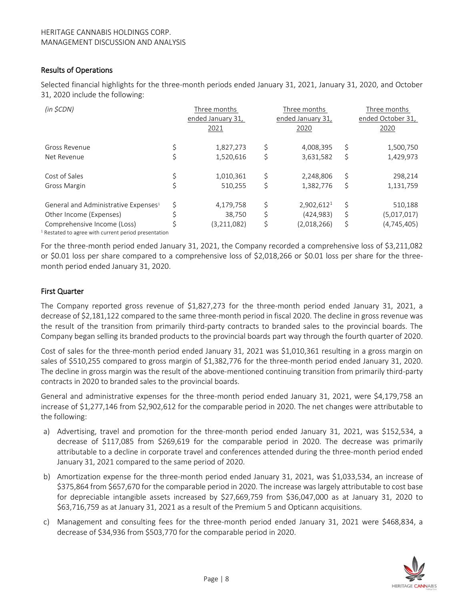# Results of Operations

Selected financial highlights for the three-month periods ended January 31, 2021, January 31, 2020, and October 31, 2020 include the following:

| (in \$CDN)                                                                                     | Three months<br>ended January 31,<br>2021 | Three months<br>ended January 31,<br>2020 | Three months<br>ended October 31,<br>2020 |
|------------------------------------------------------------------------------------------------|-------------------------------------------|-------------------------------------------|-------------------------------------------|
| Gross Revenue                                                                                  | 1,827,273                                 | \$<br>4,008,395                           | \$<br>1,500,750                           |
| Net Revenue                                                                                    | 1,520,616                                 | \$<br>3,631,582                           | \$<br>1,429,973                           |
| Cost of Sales                                                                                  | 1,010,361                                 | \$<br>2.248.806                           | \$<br>298,214                             |
| Gross Margin                                                                                   | 510,255                                   | \$<br>1,382,776                           | \$<br>1,131,759                           |
| General and Administrative Expenses <sup>1</sup>                                               | \$<br>4,179,758                           | \$<br>2,902,612 <sup>1</sup>              | \$<br>510,188                             |
| Other Income (Expenses)                                                                        | 38,750                                    | \$<br>(424, 983)                          | \$<br>(5,017,017)                         |
| Comprehensive Income (Loss)<br><sup>1</sup> Restated to agree with current period presentation | (3,211,082)                               | \$<br>(2,018,266)                         | \$<br>(4,745,405)                         |
|                                                                                                |                                           |                                           |                                           |

For the three-month period ended January 31, 2021, the Company recorded a comprehensive loss of \$3,211,082 or \$0.01 loss per share compared to a comprehensive loss of \$2,018,266 or \$0.01 loss per share for the threemonth period ended January 31, 2020.

#### First Quarter

The Company reported gross revenue of \$1,827,273 for the three-month period ended January 31, 2021, a decrease of \$2,181,122 compared to the same three-month period in fiscal 2020. The decline in gross revenue was the result of the transition from primarily third-party contracts to branded sales to the provincial boards. The Company began selling its branded products to the provincial boards part way through the fourth quarter of 2020.

Cost of sales for the three-month period ended January 31, 2021 was \$1,010,361 resulting in a gross margin on sales of \$510,255 compared to gross margin of \$1,382,776 for the three-month period ended January 31, 2020. The decline in gross margin was the result of the above-mentioned continuing transition from primarily third-party contracts in 2020 to branded sales to the provincial boards.

General and administrative expenses for the three-month period ended January 31, 2021, were \$4,179,758 an increase of \$1,277,146 from \$2,902,612 for the comparable period in 2020. The net changes were attributable to the following:

- a) Advertising, travel and promotion for the three-month period ended January 31, 2021, was \$152,534, a decrease of \$117,085 from \$269,619 for the comparable period in 2020. The decrease was primarily attributable to a decline in corporate travel and conferences attended during the three-month period ended January 31, 2021 compared to the same period of 2020.
- b) Amortization expense for the three-month period ended January 31, 2021, was \$1,033,534, an increase of \$375,864 from \$657,670 for the comparable period in 2020. The increase was largely attributable to cost base for depreciable intangible assets increased by \$27,669,759 from \$36,047,000 as at January 31, 2020 to \$63,716,759 as at January 31, 2021 as a result of the Premium 5 and Opticann acquisitions.
- c) Management and consulting fees for the three-month period ended January 31, 2021 were \$468,834, a decrease of \$34,936 from \$503,770 for the comparable period in 2020.

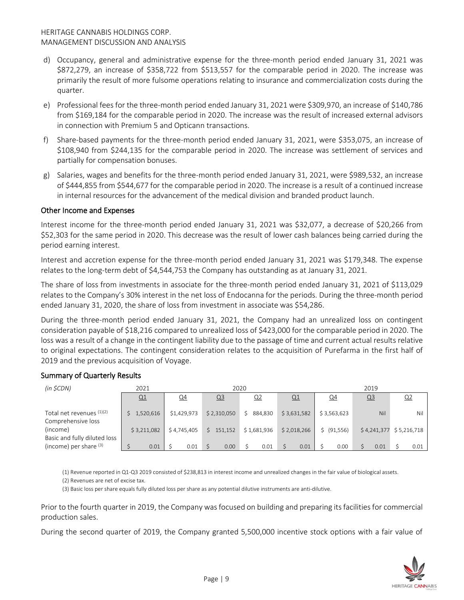- d) Occupancy, general and administrative expense for the three-month period ended January 31, 2021 was \$872,279, an increase of \$358,722 from \$513,557 for the comparable period in 2020. The increase was primarily the result of more fulsome operations relating to insurance and commercialization costs during the quarter.
- e) Professional fees for the three-month period ended January 31, 2021 were \$309,970, an increase of \$140,786 from \$169,184 for the comparable period in 2020. The increase was the result of increased external advisors in connection with Premium 5 and Opticann transactions.
- f) Share-based payments for the three-month period ended January 31, 2021, were \$353,075, an increase of \$108,940 from \$244,135 for the comparable period in 2020. The increase was settlement of services and partially for compensation bonuses.
- g) Salaries, wages and benefits for the three-month period ended January 31, 2021, were \$989,532, an increase of \$444,855 from \$544,677 for the comparable period in 2020. The increase is a result of a continued increase in internal resources for the advancement of the medical division and branded product launch.

# Other Income and Expenses

Interest income for the three-month period ended January 31, 2021 was \$32,077, a decrease of \$20,266 from \$52,303 for the same period in 2020. This decrease was the result of lower cash balances being carried during the period earning interest.

Interest and accretion expense for the three-month period ended January 31, 2021 was \$179,348. The expense relates to the long-term debt of \$4,544,753 the Company has outstanding as at January 31, 2021.

The share of loss from investments in associate for the three-month period ended January 31, 2021 of \$113,029 relates to the Company's 30% interest in the net loss of Endocanna for the periods. During the three-month period ended January 31, 2020, the share of loss from investment in associate was \$54,286.

During the three-month period ended January 31, 2021, the Company had an unrealized loss on contingent consideration payable of \$18,216 compared to unrealized loss of \$423,000 for the comparable period in 2020. The loss was a result of a change in the contingent liability due to the passage of time and current actual results relative to original expectations. The contingent consideration relates to the acquisition of Purefarma in the first half of 2019 and the previous acquisition of Voyage.

# Summary of Quarterly Results

| (in \$CDN)                   | 2021        | 2020        |                |                |             | 2019        |                |                           |
|------------------------------|-------------|-------------|----------------|----------------|-------------|-------------|----------------|---------------------------|
|                              | Q1          | <u>Q4</u>   | Q <sub>3</sub> | Q <sub>2</sub> | Q1          | $Q_4$       | Q <sub>3</sub> | <u>Q2</u>                 |
|                              |             |             |                |                |             |             |                |                           |
| Total net revenues $(1)(2)$  | \$1,520,616 | \$1,429,973 | \$2,310,050    | 884.830<br>Š.  | \$3,631,582 | \$3,563,623 | Nil            | Nil                       |
| Comprehensive loss           |             |             |                |                |             |             |                |                           |
| (income)                     | \$3,211,082 | \$4,745,405 | \$151,152      | \$1,681,936    | \$2,018,266 | \$ (91,556) |                | $$4,241,377$ $$5,216,718$ |
| Basic and fully diluted loss |             |             |                |                |             |             |                |                           |
| (income) per share $(3)$     | 0.01        | 0.01        | 0.00           | 0.01           | 0.01        | 0.00        | 0.01           | 0.01                      |

(1) Revenue reported in Q1-Q3 2019 consisted of \$238,813 in interest income and unrealized changes in the fair value of biological assets.

(2) Revenues are net of excise tax.

(3) Basic loss per share equals fully diluted loss per share as any potential dilutive instruments are anti-dilutive.

Prior to the fourth quarter in 2019, the Company was focused on building and preparing its facilities for commercial production sales.

During the second quarter of 2019, the Company granted 5,500,000 incentive stock options with a fair value of

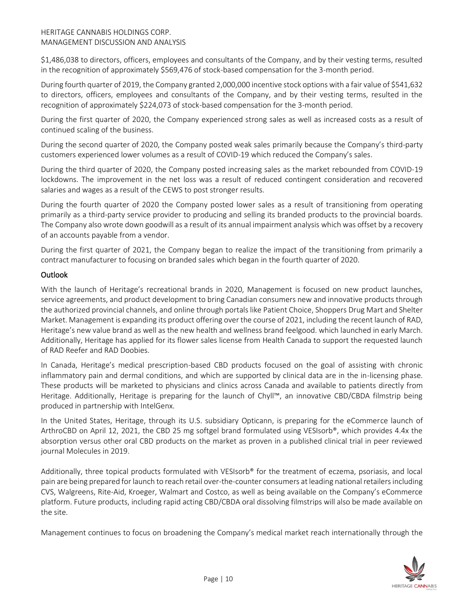\$1,486,038 to directors, officers, employees and consultants of the Company, and by their vesting terms, resulted in the recognition of approximately \$569,476 of stock-based compensation for the 3-month period.

During fourth quarter of 2019, the Company granted 2,000,000 incentive stock options with a fair value of \$541,632 to directors, officers, employees and consultants of the Company, and by their vesting terms, resulted in the recognition of approximately \$224,073 of stock-based compensation for the 3-month period.

During the first quarter of 2020, the Company experienced strong sales as well as increased costs as a result of continued scaling of the business.

During the second quarter of 2020, the Company posted weak sales primarily because the Company's third-party customers experienced lower volumes as a result of COVID-19 which reduced the Company's sales.

During the third quarter of 2020, the Company posted increasing sales as the market rebounded from COVID-19 lockdowns. The improvement in the net loss was a result of reduced contingent consideration and recovered salaries and wages as a result of the CEWS to post stronger results.

During the fourth quarter of 2020 the Company posted lower sales as a result of transitioning from operating primarily as a third-party service provider to producing and selling its branded products to the provincial boards. The Company also wrote down goodwill as a result of its annual impairment analysis which was offset by a recovery of an accounts payable from a vendor.

During the first quarter of 2021, the Company began to realize the impact of the transitioning from primarily a contract manufacturer to focusing on branded sales which began in the fourth quarter of 2020.

# **Outlook**

With the launch of Heritage's recreational brands in 2020, Management is focused on new product launches, service agreements, and product development to bring Canadian consumers new and innovative products through the authorized provincial channels, and online through portals like Patient Choice, Shoppers Drug Mart and Shelter Market. Management is expanding its product offering over the course of 2021, including the recent launch of RAD, Heritage's new value brand as well as the new health and wellness brand feelgood. which launched in early March. Additionally, Heritage has applied for its flower sales license from Health Canada to support the requested launch of RAD Reefer and RAD Doobies.

In Canada, Heritage's medical prescription-based CBD products focused on the goal of assisting with chronic inflammatory pain and dermal conditions, and which are supported by clinical data are in the in-licensing phase. These products will be marketed to physicians and clinics across Canada and available to patients directly from Heritage. Additionally, Heritage is preparing for the launch of Chyll™, an innovative CBD/CBDA filmstrip being produced in partnership with IntelGenx.

In the United States, Heritage, through its U.S. subsidiary Opticann, is preparing for the eCommerce launch of ArthroCBD on April 12, 2021, the CBD 25 mg softgel brand formulated using VESIsorb®, which provides 4.4x the absorption versus other oral CBD products on the market as proven in a published clinical trial in peer reviewed journal Molecules in 2019.

Additionally, three topical products formulated with VESIsorb® for the treatment of eczema, psoriasis, and local pain are being prepared for launch to reach retail over-the-counter consumers at leading national retailers including CVS, Walgreens, Rite-Aid, Kroeger, Walmart and Costco, as well as being available on the Company's eCommerce platform. Future products, including rapid acting CBD/CBDA oral dissolving filmstrips will also be made available on the site.

Management continues to focus on broadening the Company's medical market reach internationally through the

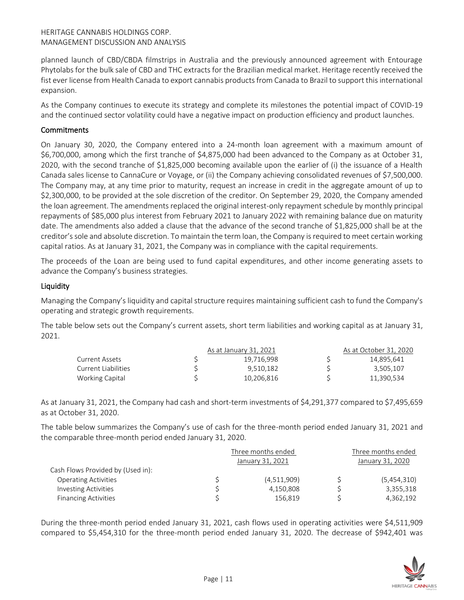planned launch of CBD/CBDA filmstrips in Australia and the previously announced agreement with Entourage Phytolabs for the bulk sale of CBD and THC extracts for the Brazilian medical market. Heritage recently received the fist ever license from Health Canada to export cannabis products from Canada to Brazil to support this international expansion.

As the Company continues to execute its strategy and complete its milestones the potential impact of COVID-19 and the continued sector volatility could have a negative impact on production efficiency and product launches.

# **Commitments**

On January 30, 2020, the Company entered into a 24-month loan agreement with a maximum amount of \$6,700,000, among which the first tranche of \$4,875,000 had been advanced to the Company as at October 31, 2020, with the second tranche of \$1,825,000 becoming available upon the earlier of (i) the issuance of a Health Canada sales license to CannaCure or Voyage, or (ii) the Company achieving consolidated revenues of \$7,500,000. The Company may, at any time prior to maturity, request an increase in credit in the aggregate amount of up to \$2,300,000, to be provided at the sole discretion of the creditor. On September 29, 2020, the Company amended the loan agreement. The amendments replaced the original interest-only repayment schedule by monthly principal repayments of \$85,000 plus interest from February 2021 to January 2022 with remaining balance due on maturity date. The amendments also added a clause that the advance of the second tranche of \$1,825,000 shall be at the creditor's sole and absolute discretion. To maintain the term loan, the Company is required to meet certain working capital ratios. As at January 31, 2021, the Company was in compliance with the capital requirements.

The proceeds of the Loan are being used to fund capital expenditures, and other income generating assets to advance the Company's business strategies.

#### **Liquidity**

Managing the Company's liquidity and capital structure requires maintaining sufficient cash to fund the Company's operating and strategic growth requirements.

The table below sets out the Company's current assets, short term liabilities and working capital as at January 31, 2021.

|                     | As at January 31, 2021 | As at October 31, 2020 |
|---------------------|------------------------|------------------------|
| Current Assets      | 19.716.998             | 14,895,641             |
| Current Liabilities | 9.510.182              | 3.505.107              |
| Working Capital     | 10,206,816             | 11,390,534             |

As at January 31, 2021, the Company had cash and short-term investments of \$4,291,377 compared to \$7,495,659 as at October 31, 2020.

The table below summarizes the Company's use of cash for the three-month period ended January 31, 2021 and the comparable three-month period ended January 31, 2020.

|                                   | Three months ended | Three months ended |                  |  |
|-----------------------------------|--------------------|--------------------|------------------|--|
|                                   | January 31, 2021   |                    | January 31, 2020 |  |
| Cash Flows Provided by (Used in): |                    |                    |                  |  |
| <b>Operating Activities</b>       | (4,511,909)        |                    | (5,454,310)      |  |
| <b>Investing Activities</b>       | 4,150,808          |                    | 3,355,318        |  |
| <b>Financing Activities</b>       | 156.819            |                    | 4,362,192        |  |

During the three-month period ended January 31, 2021, cash flows used in operating activities were \$4,511,909 compared to \$5,454,310 for the three-month period ended January 31, 2020. The decrease of \$942,401 was

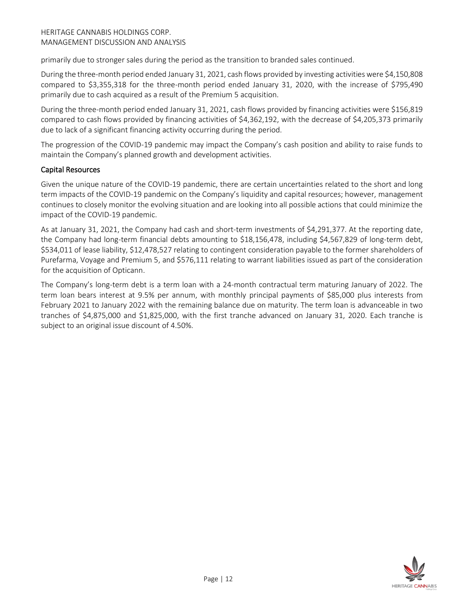primarily due to stronger sales during the period as the transition to branded sales continued.

During the three-month period ended January 31, 2021, cash flows provided by investing activities were \$4,150,808 compared to \$3,355,318 for the three-month period ended January 31, 2020, with the increase of \$795,490 primarily due to cash acquired as a result of the Premium 5 acquisition.

During the three-month period ended January 31, 2021, cash flows provided by financing activities were \$156,819 compared to cash flows provided by financing activities of \$4,362,192, with the decrease of \$4,205,373 primarily due to lack of a significant financing activity occurring during the period.

The progression of the COVID-19 pandemic may impact the Company's cash position and ability to raise funds to maintain the Company's planned growth and development activities.

# Capital Resources

Given the unique nature of the COVID-19 pandemic, there are certain uncertainties related to the short and long term impacts of the COVID-19 pandemic on the Company's liquidity and capital resources; however, management continues to closely monitor the evolving situation and are looking into all possible actions that could minimize the impact of the COVID-19 pandemic.

As at January 31, 2021, the Company had cash and short-term investments of \$4,291,377. At the reporting date, the Company had long-term financial debts amounting to \$18,156,478, including \$4,567,829 of long-term debt, \$534,011 of lease liability, \$12,478,527 relating to contingent consideration payable to the former shareholders of Purefarma, Voyage and Premium 5, and \$576,111 relating to warrant liabilities issued as part of the consideration for the acquisition of Opticann.

The Company's long-term debt is a term loan with a 24-month contractual term maturing January of 2022. The term loan bears interest at 9.5% per annum, with monthly principal payments of \$85,000 plus interests from February 2021 to January 2022 with the remaining balance due on maturity. The term loan is advanceable in two tranches of \$4,875,000 and \$1,825,000, with the first tranche advanced on January 31, 2020. Each tranche is subject to an original issue discount of 4.50%.

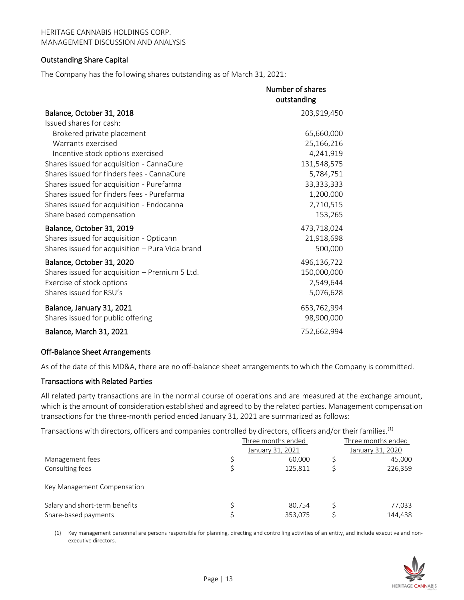#### Outstanding Share Capital

The Company has the following shares outstanding as of March 31, 2021:

|                                                 | Number of shares |
|-------------------------------------------------|------------------|
|                                                 | outstanding      |
| Balance, October 31, 2018                       | 203,919,450      |
| Issued shares for cash:                         |                  |
| Brokered private placement                      | 65,660,000       |
| Warrants exercised                              | 25,166,216       |
| Incentive stock options exercised               | 4,241,919        |
| Shares issued for acquisition - CannaCure       | 131,548,575      |
| Shares issued for finders fees - CannaCure      | 5,784,751        |
| Shares issued for acquisition - Purefarma       | 33, 333, 333     |
| Shares issued for finders fees - Purefarma      | 1,200,000        |
| Shares issued for acquisition - Endocanna       | 2,710,515        |
| Share based compensation                        | 153,265          |
| Balance, October 31, 2019                       | 473,718,024      |
| Shares issued for acquisition - Opticann        | 21,918,698       |
| Shares issued for acquisition - Pura Vida brand | 500,000          |
| Balance, October 31, 2020                       | 496,136,722      |
| Shares issued for acquisition - Premium 5 Ltd.  | 150,000,000      |
| Exercise of stock options                       | 2,549,644        |
| Shares issued for RSU's                         | 5,076,628        |
| Balance, January 31, 2021                       | 653,762,994      |
| Shares issued for public offering               | 98,900,000       |
| Balance, March 31, 2021                         | 752,662,994      |

#### Off-Balance Sheet Arrangements

As of the date of this MD&A, there are no off-balance sheet arrangements to which the Company is committed.

#### Transactions with Related Parties

All related party transactions are in the normal course of operations and are measured at the exchange amount, which is the amount of consideration established and agreed to by the related parties. Management compensation transactions for the three-month period ended January 31, 2021 are summarized as follows:

Transactions with directors, officers and companies controlled by directors, officers and/or their families.<sup>(1)</sup>

|                                | Three months ended | Three months ended |
|--------------------------------|--------------------|--------------------|
|                                | January 31, 2021   | January 31, 2020   |
| Management fees                | 60,000             | 45,000             |
| Consulting fees                | 125.811            | 226,359            |
| Key Management Compensation    |                    |                    |
| Salary and short-term benefits | 80.754             | 77,033             |
| Share-based payments           | 353,075            | 144,438            |

(1) Key management personnel are persons responsible for planning, directing and controlling activities of an entity, and include executive and nonexecutive directors.

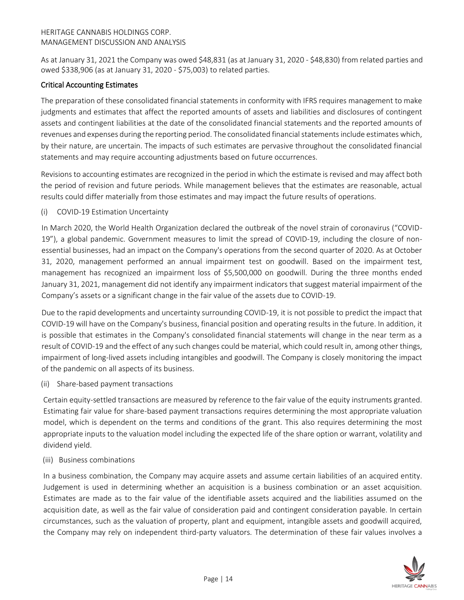As at January 31, 2021 the Company was owed \$48,831 (as at January 31, 2020 - \$48,830) from related parties and owed \$338,906 (as at January 31, 2020 - \$75,003) to related parties.

# Critical Accounting Estimates

The preparation of these consolidated financial statements in conformity with IFRS requires management to make judgments and estimates that affect the reported amounts of assets and liabilities and disclosures of contingent assets and contingent liabilities at the date of the consolidated financial statements and the reported amounts of revenues and expenses during the reporting period. The consolidated financial statements include estimates which, by their nature, are uncertain. The impacts of such estimates are pervasive throughout the consolidated financial statements and may require accounting adjustments based on future occurrences.

Revisions to accounting estimates are recognized in the period in which the estimate is revised and may affect both the period of revision and future periods. While management believes that the estimates are reasonable, actual results could differ materially from those estimates and may impact the future results of operations.

(i) COVID-19 Estimation Uncertainty

In March 2020, the World Health Organization declared the outbreak of the novel strain of coronavirus ("COVID-19"), a global pandemic. Government measures to limit the spread of COVID-19, including the closure of nonessential businesses, had an impact on the Company's operations from the second quarter of 2020. As at October 31, 2020, management performed an annual impairment test on goodwill. Based on the impairment test, management has recognized an impairment loss of \$5,500,000 on goodwill. During the three months ended January 31, 2021, management did not identify any impairment indicators that suggest material impairment of the Company's assets or a significant change in the fair value of the assets due to COVID-19.

Due to the rapid developments and uncertainty surrounding COVID-19, it is not possible to predict the impact that COVID-19 will have on the Company's business, financial position and operating results in the future. In addition, it is possible that estimates in the Company's consolidated financial statements will change in the near term as a result of COVID-19 and the effect of any such changes could be material, which could result in, among other things, impairment of long-lived assets including intangibles and goodwill. The Company is closely monitoring the impact of the pandemic on all aspects of its business.

(ii) Share-based payment transactions

Certain equity-settled transactions are measured by reference to the fair value of the equity instruments granted. Estimating fair value for share-based payment transactions requires determining the most appropriate valuation model, which is dependent on the terms and conditions of the grant. This also requires determining the most appropriate inputs to the valuation model including the expected life of the share option or warrant, volatility and dividend yield.

(iii) Business combinations

In a business combination, the Company may acquire assets and assume certain liabilities of an acquired entity. Judgement is used in determining whether an acquisition is a business combination or an asset acquisition. Estimates are made as to the fair value of the identifiable assets acquired and the liabilities assumed on the acquisition date, as well as the fair value of consideration paid and contingent consideration payable. In certain circumstances, such as the valuation of property, plant and equipment, intangible assets and goodwill acquired, the Company may rely on independent third-party valuators. The determination of these fair values involves a

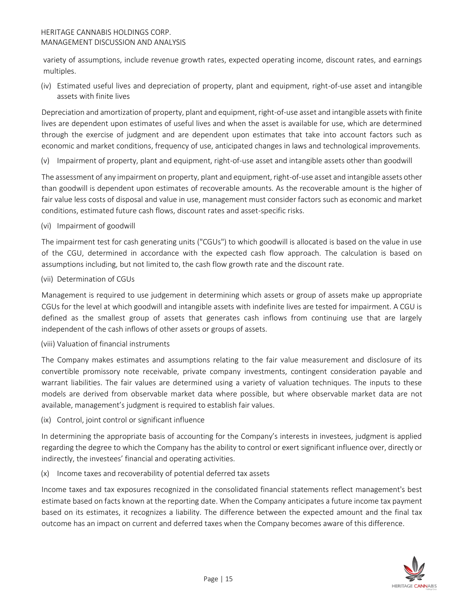variety of assumptions, include revenue growth rates, expected operating income, discount rates, and earnings multiples.

(iv) Estimated useful lives and depreciation of property, plant and equipment, right-of-use asset and intangible assets with finite lives

Depreciation and amortization of property, plant and equipment, right-of-use asset and intangible assets with finite lives are dependent upon estimates of useful lives and when the asset is available for use, which are determined through the exercise of judgment and are dependent upon estimates that take into account factors such as economic and market conditions, frequency of use, anticipated changes in laws and technological improvements.

(v) Impairment of property, plant and equipment, right-of-use asset and intangible assets other than goodwill

The assessment of any impairment on property, plant and equipment, right-of-use asset and intangible assets other than goodwill is dependent upon estimates of recoverable amounts. As the recoverable amount is the higher of fair value less costs of disposal and value in use, management must consider factors such as economic and market conditions, estimated future cash flows, discount rates and asset-specific risks.

(vi) Impairment of goodwill

The impairment test for cash generating units ("CGUs") to which goodwill is allocated is based on the value in use of the CGU, determined in accordance with the expected cash flow approach. The calculation is based on assumptions including, but not limited to, the cash flow growth rate and the discount rate.

(vii) Determination of CGUs

Management is required to use judgement in determining which assets or group of assets make up appropriate CGUs for the level at which goodwill and intangible assets with indefinite lives are tested for impairment. A CGU is defined as the smallest group of assets that generates cash inflows from continuing use that are largely independent of the cash inflows of other assets or groups of assets.

(viii) Valuation of financial instruments

The Company makes estimates and assumptions relating to the fair value measurement and disclosure of its convertible promissory note receivable, private company investments, contingent consideration payable and warrant liabilities. The fair values are determined using a variety of valuation techniques. The inputs to these models are derived from observable market data where possible, but where observable market data are not available, management's judgment is required to establish fair values.

(ix) Control, joint control or significant influence

In determining the appropriate basis of accounting for the Company's interests in investees, judgment is applied regarding the degree to which the Company has the ability to control or exert significant influence over, directly or indirectly, the investees' financial and operating activities.

(x) Income taxes and recoverability of potential deferred tax assets

Income taxes and tax exposures recognized in the consolidated financial statements reflect management's best estimate based on facts known at the reporting date. When the Company anticipates a future income tax payment based on its estimates, it recognizes a liability. The difference between the expected amount and the final tax outcome has an impact on current and deferred taxes when the Company becomes aware of this difference.

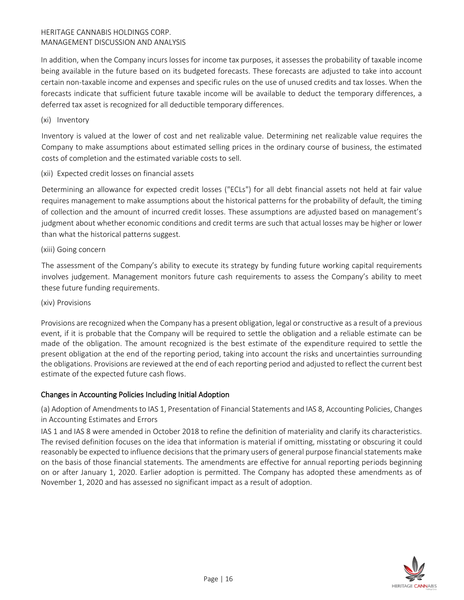In addition, when the Company incurs losses for income tax purposes, it assesses the probability of taxable income being available in the future based on its budgeted forecasts. These forecasts are adjusted to take into account certain non-taxable income and expenses and specific rules on the use of unused credits and tax losses. When the forecasts indicate that sufficient future taxable income will be available to deduct the temporary differences, a deferred tax asset is recognized for all deductible temporary differences.

(xi) Inventory

Inventory is valued at the lower of cost and net realizable value. Determining net realizable value requires the Company to make assumptions about estimated selling prices in the ordinary course of business, the estimated costs of completion and the estimated variable costs to sell.

(xii) Expected credit losses on financial assets

Determining an allowance for expected credit losses ("ECLs") for all debt financial assets not held at fair value requires management to make assumptions about the historical patterns for the probability of default, the timing of collection and the amount of incurred credit losses. These assumptions are adjusted based on management's judgment about whether economic conditions and credit terms are such that actual losses may be higher or lower than what the historical patterns suggest.

# (xiii) Going concern

The assessment of the Company's ability to execute its strategy by funding future working capital requirements involves judgement. Management monitors future cash requirements to assess the Company's ability to meet these future funding requirements.

#### (xiv) Provisions

Provisions are recognized when the Company has a present obligation, legal or constructive as a result of a previous event, if it is probable that the Company will be required to settle the obligation and a reliable estimate can be made of the obligation. The amount recognized is the best estimate of the expenditure required to settle the present obligation at the end of the reporting period, taking into account the risks and uncertainties surrounding the obligations. Provisions are reviewed at the end of each reporting period and adjusted to reflect the current best estimate of the expected future cash flows.

# Changes in Accounting Policies Including Initial Adoption

(a) Adoption of Amendments to IAS 1, Presentation of Financial Statements and IAS 8, Accounting Policies, Changes in Accounting Estimates and Errors

IAS 1 and IAS 8 were amended in October 2018 to refine the definition of materiality and clarify its characteristics. The revised definition focuses on the idea that information is material if omitting, misstating or obscuring it could reasonably be expected to influence decisions that the primary users of general purpose financial statements make on the basis of those financial statements. The amendments are effective for annual reporting periods beginning on or after January 1, 2020. Earlier adoption is permitted. The Company has adopted these amendments as of November 1, 2020 and has assessed no significant impact as a result of adoption.

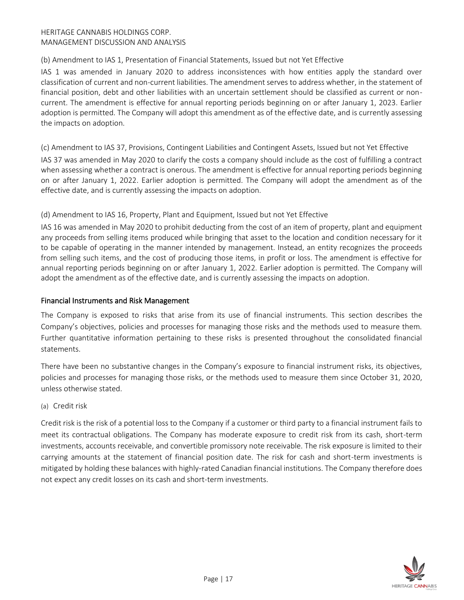# (b) Amendment to IAS 1, Presentation of Financial Statements, Issued but not Yet Effective

IAS 1 was amended in January 2020 to address inconsistences with how entities apply the standard over classification of current and non-current liabilities. The amendment serves to address whether, in the statement of financial position, debt and other liabilities with an uncertain settlement should be classified as current or noncurrent. The amendment is effective for annual reporting periods beginning on or after January 1, 2023. Earlier adoption is permitted. The Company will adopt this amendment as of the effective date, and is currently assessing the impacts on adoption.

# (c) Amendment to IAS 37, Provisions, Contingent Liabilities and Contingent Assets, Issued but not Yet Effective

IAS 37 was amended in May 2020 to clarify the costs a company should include as the cost of fulfilling a contract when assessing whether a contract is onerous. The amendment is effective for annual reporting periods beginning on or after January 1, 2022. Earlier adoption is permitted. The Company will adopt the amendment as of the effective date, and is currently assessing the impacts on adoption.

# (d) Amendment to IAS 16, Property, Plant and Equipment, Issued but not Yet Effective

IAS 16 was amended in May 2020 to prohibit deducting from the cost of an item of property, plant and equipment any proceeds from selling items produced while bringing that asset to the location and condition necessary for it to be capable of operating in the manner intended by management. Instead, an entity recognizes the proceeds from selling such items, and the cost of producing those items, in profit or loss. The amendment is effective for annual reporting periods beginning on or after January 1, 2022. Earlier adoption is permitted. The Company will adopt the amendment as of the effective date, and is currently assessing the impacts on adoption.

# Financial Instruments and Risk Management

The Company is exposed to risks that arise from its use of financial instruments. This section describes the Company's objectives, policies and processes for managing those risks and the methods used to measure them. Further quantitative information pertaining to these risks is presented throughout the consolidated financial statements.

There have been no substantive changes in the Company's exposure to financial instrument risks, its objectives, policies and processes for managing those risks, or the methods used to measure them since October 31, 2020, unless otherwise stated.

#### (a) Credit risk

Credit risk is the risk of a potential loss to the Company if a customer or third party to a financial instrument fails to meet its contractual obligations. The Company has moderate exposure to credit risk from its cash, short-term investments, accounts receivable, and convertible promissory note receivable. The risk exposure is limited to their carrying amounts at the statement of financial position date. The risk for cash and short-term investments is mitigated by holding these balances with highly-rated Canadian financial institutions. The Company therefore does not expect any credit losses on its cash and short-term investments.

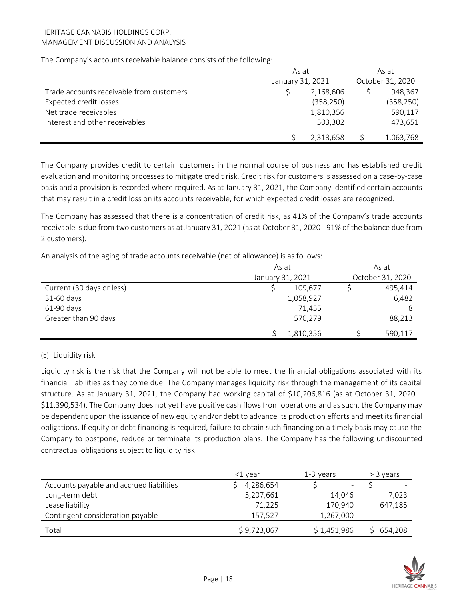The Company's accounts receivable balance consists of the following:

|                                          | As at |                  | As at |                  |  |
|------------------------------------------|-------|------------------|-------|------------------|--|
|                                          |       | January 31, 2021 |       | October 31, 2020 |  |
| Trade accounts receivable from customers |       | 2,168,606        |       | 948,367          |  |
| Expected credit losses                   |       | (358, 250)       |       | (358, 250)       |  |
| Net trade receivables                    |       | 1,810,356        |       | 590,117          |  |
| Interest and other receivables           |       | 503,302          |       | 473,651          |  |
|                                          |       | 2,313,658        |       | 1,063,768        |  |

The Company provides credit to certain customers in the normal course of business and has established credit evaluation and monitoring processes to mitigate credit risk. Credit risk for customers is assessed on a case-by-case basis and a provision is recorded where required. As at January 31, 2021, the Company identified certain accounts that may result in a credit loss on its accounts receivable, for which expected credit losses are recognized.

The Company has assessed that there is a concentration of credit risk, as 41% of the Company's trade accounts receivable is due from two customers as at January 31, 2021 (as at October 31, 2020 - 91% of the balance due from 2 customers).

An analysis of the aging of trade accounts receivable (net of allowance) is as follows:

|                           | As at |                  | As at |                  |
|---------------------------|-------|------------------|-------|------------------|
|                           |       | January 31, 2021 |       | October 31, 2020 |
| Current (30 days or less) |       | 109.677          |       | 495,414          |
| 31-60 days                |       | 1,058,927        |       | 6,482            |
| 61-90 days                |       | 71,455           |       | 8                |
| Greater than 90 days      |       | 570,279          |       | 88,213           |
|                           |       | 1,810,356        |       | 590,117          |

# (b) Liquidity risk

Liquidity risk is the risk that the Company will not be able to meet the financial obligations associated with its financial liabilities as they come due. The Company manages liquidity risk through the management of its capital structure. As at January 31, 2021, the Company had working capital of \$10,206,816 (as at October 31, 2020 – \$11,390,534). The Company does not yet have positive cash flows from operations and as such, the Company may be dependent upon the issuance of new equity and/or debt to advance its production efforts and meet its financial obligations. If equity or debt financing is required, failure to obtain such financing on a timely basis may cause the Company to postpone, reduce or terminate its production plans. The Company has the following undiscounted contractual obligations subject to liquidity risk:

|                                          | <1 vear     | $1-3$ years              |         |
|------------------------------------------|-------------|--------------------------|---------|
| Accounts payable and accrued liabilities | 4,286,654   | $\overline{\phantom{a}}$ |         |
| Long-term debt                           | 5,207,661   | 14,046                   | 7,023   |
| Lease liability                          | 71,225      | 170,940                  | 647,185 |
| Contingent consideration payable         | 157,527     | 1,267,000                | -       |
| Total                                    | \$9,723,067 | \$1,451,986              | 654,208 |

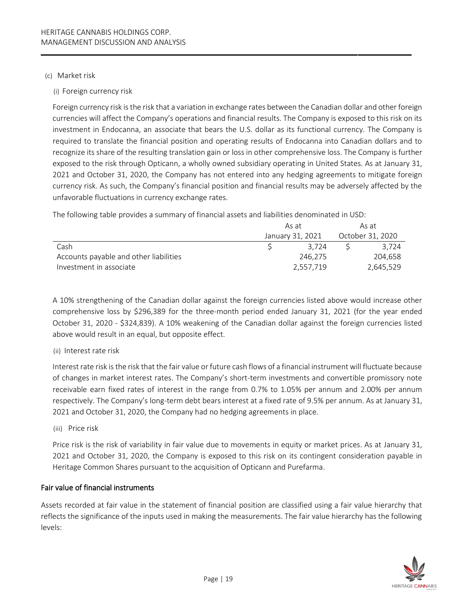#### (c) Market risk

(i) Foreign currency risk

Foreign currency risk is the risk that a variation in exchange rates between the Canadian dollar and other foreign currencies will affect the Company's operations and financial results. The Company is exposed to this risk on its investment in Endocanna, an associate that bears the U.S. dollar as its functional currency. The Company is required to translate the financial position and operating results of Endocanna into Canadian dollars and to recognize its share of the resulting translation gain or loss in other comprehensive loss. The Company is further exposed to the risk through Opticann, a wholly owned subsidiary operating in United States. As at January 31, 2021 and October 31, 2020, the Company has not entered into any hedging agreements to mitigate foreign currency risk. As such, the Company's financial position and financial results may be adversely affected by the unfavorable fluctuations in currency exchange rates.

The following table provides a summary of financial assets and liabilities denominated in USD:

|                                        | As at |                  | As at            |
|----------------------------------------|-------|------------------|------------------|
|                                        |       | January 31, 2021 | October 31, 2020 |
| Cash                                   |       | 3.724            | 3.724            |
| Accounts payable and other liabilities |       | 246.275          | 204.658          |
| Investment in associate                |       | 2,557,719        | 2,645,529        |

A 10% strengthening of the Canadian dollar against the foreign currencies listed above would increase other comprehensive loss by \$296,389 for the three-month period ended January 31, 2021 (for the year ended October 31, 2020 - \$324,839). A 10% weakening of the Canadian dollar against the foreign currencies listed above would result in an equal, but opposite effect.

(ii) Interest rate risk

Interest rate risk is the risk that the fair value or future cash flows of a financial instrument will fluctuate because of changes in market interest rates. The Company's short-term investments and convertible promissory note receivable earn fixed rates of interest in the range from 0.7% to 1.05% per annum and 2.00% per annum respectively. The Company's long-term debt bears interest at a fixed rate of 9.5% per annum. As at January 31, 2021 and October 31, 2020, the Company had no hedging agreements in place.

(iii) Price risk

Price risk is the risk of variability in fair value due to movements in equity or market prices. As at January 31, 2021 and October 31, 2020, the Company is exposed to this risk on its contingent consideration payable in Heritage Common Shares pursuant to the acquisition of Opticann and Purefarma.

# Fair value of financial instruments

Assets recorded at fair value in the statement of financial position are classified using a fair value hierarchy that reflects the significance of the inputs used in making the measurements. The fair value hierarchy has the following levels:

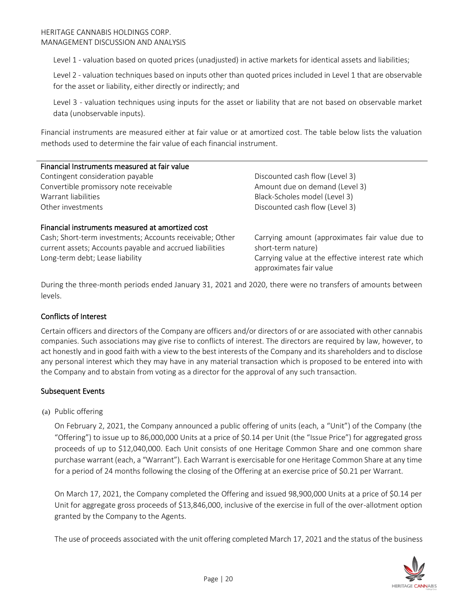Level 1 - valuation based on quoted prices (unadjusted) in active markets for identical assets and liabilities;

Level 2 - valuation techniques based on inputs other than quoted prices included in Level 1 that are observable for the asset or liability, either directly or indirectly; and

Level 3 - valuation techniques using inputs for the asset or liability that are not based on observable market data (unobservable inputs).

Financial instruments are measured either at fair value or at amortized cost. The table below lists the valuation methods used to determine the fair value of each financial instrument.

| Financial Instruments measured at fair value     |                                |  |  |  |  |
|--------------------------------------------------|--------------------------------|--|--|--|--|
| Contingent consideration payable                 | Discounted cash flow (Level 3) |  |  |  |  |
| Convertible promissory note receivable           | Amount due on demand (Level 3) |  |  |  |  |
| Warrant liabilities                              | Black-Scholes model (Level 3)  |  |  |  |  |
| Other investments                                | Discounted cash flow (Level 3) |  |  |  |  |
| Financial instruments measured at amortized cost |                                |  |  |  |  |

Cash; Short-term investments; Accounts receivable; Other current assets; Accounts payable and accrued liabilities Long-term debt; Lease liability example and the effective interest rate which carrying value at the effective interest rate which

Carrying amount (approximates fair value due to short-term nature) approximates fair value

During the three-month periods ended January 31, 2021 and 2020, there were no transfers of amounts between levels.

#### Conflicts of Interest

Certain officers and directors of the Company are officers and/or directors of or are associated with other cannabis companies. Such associations may give rise to conflicts of interest. The directors are required by law, however, to act honestly and in good faith with a view to the best interests of the Company and its shareholders and to disclose any personal interest which they may have in any material transaction which is proposed to be entered into with the Company and to abstain from voting as a director for the approval of any such transaction.

#### Subsequent Events

(a) Public offering

On February 2, 2021, the Company announced a public offering of units (each, a "Unit") of the Company (the "Offering") to issue up to 86,000,000 Units at a price of \$0.14 per Unit (the "Issue Price") for aggregated gross proceeds of up to \$12,040,000. Each Unit consists of one Heritage Common Share and one common share purchase warrant (each, a "Warrant"). Each Warrant is exercisable for one Heritage Common Share at any time for a period of 24 months following the closing of the Offering at an exercise price of \$0.21 per Warrant.

On March 17, 2021, the Company completed the Offering and issued 98,900,000 Units at a price of \$0.14 per Unit for aggregate gross proceeds of \$13,846,000, inclusive of the exercise in full of the over-allotment option granted by the Company to the Agents.

The use of proceeds associated with the unit offering completed March 17, 2021 and the status of the business

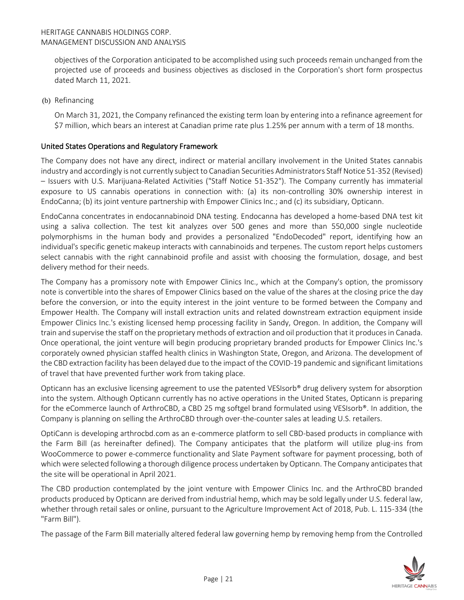objectives of the Corporation anticipated to be accomplished using such proceeds remain unchanged from the projected use of proceeds and business objectives as disclosed in the Corporation's short form prospectus dated March 11, 2021.

(b) Refinancing

On March 31, 2021, the Company refinanced the existing term loan by entering into a refinance agreement for \$7 million, which bears an interest at Canadian prime rate plus 1.25% per annum with a term of 18 months.

# United States Operations and Regulatory Framework

The Company does not have any direct, indirect or material ancillary involvement in the United States cannabis industry and accordingly is not currently subject to Canadian Securities Administrators Staff Notice 51-352 (Revised) – Issuers with U.S. Marijuana-Related Activities ("Staff Notice 51-352"). The Company currently has immaterial exposure to US cannabis operations in connection with: (a) its non-controlling 30% ownership interest in EndoCanna; (b) its joint venture partnership with Empower Clinics Inc.; and (c) its subsidiary, Opticann.

EndoCanna concentrates in endocannabinoid DNA testing. Endocanna has developed a home-based DNA test kit using a saliva collection. The test kit analyzes over 500 genes and more than 550,000 single nucleotide polymorphisms in the human body and provides a personalized "EndoDecoded" report, identifying how an individual's specific genetic makeup interacts with cannabinoids and terpenes. The custom report helps customers select cannabis with the right cannabinoid profile and assist with choosing the formulation, dosage, and best delivery method for their needs.

The Company has a promissory note with Empower Clinics Inc., which at the Company's option, the promissory note is convertible into the shares of Empower Clinics based on the value of the shares at the closing price the day before the conversion, or into the equity interest in the joint venture to be formed between the Company and Empower Health. The Company will install extraction units and related downstream extraction equipment inside Empower Clinics Inc.'s existing licensed hemp processing facility in Sandy, Oregon. In addition, the Company will train and supervise the staff on the proprietary methods of extraction and oil production that it produces in Canada. Once operational, the joint venture will begin producing proprietary branded products for Empower Clinics Inc.'s corporately owned physician staffed health clinics in Washington State, Oregon, and Arizona. The development of the CBD extraction facility has been delayed due to the impact of the COVID-19 pandemic and significant limitations of travel that have prevented further work from taking place.

Opticann has an exclusive licensing agreement to use the patented VESIsorb® drug delivery system for absorption into the system. Although Opticann currently has no active operations in the United States, Opticann is preparing for the eCommerce launch of ArthroCBD, a CBD 25 mg softgel brand formulated using VESIsorb®. In addition, the Company is planning on selling the ArthroCBD through over-the-counter sales at leading U.S. retailers.

OptiCann is developing arthrocbd.com as an e-commerce platform to sell CBD-based products in compliance with the Farm Bill (as hereinafter defined). The Company anticipates that the platform will utilize plug-ins from WooCommerce to power e-commerce functionality and Slate Payment software for payment processing, both of which were selected following a thorough diligence process undertaken by Opticann. The Company anticipates that the site will be operational in April 2021.

The CBD production contemplated by the joint venture with Empower Clinics Inc. and the ArthroCBD branded products produced by Opticann are derived from industrial hemp, which may be sold legally under U.S. federal law, whether through retail sales or online, pursuant to the Agriculture Improvement Act of 2018, Pub. L. 115-334 (the "Farm Bill").

The passage of the Farm Bill materially altered federal law governing hemp by removing hemp from the Controlled

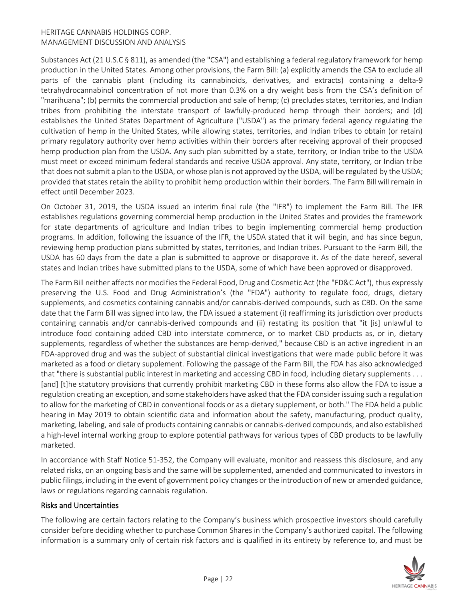Substances Act (21 U.S.C § 811), as amended (the "CSA") and establishing a federal regulatory framework for hemp production in the United States. Among other provisions, the Farm Bill: (a) explicitly amends the CSA to exclude all parts of the cannabis plant (including its cannabinoids, derivatives, and extracts) containing a delta-9 tetrahydrocannabinol concentration of not more than 0.3% on a dry weight basis from the CSA's definition of "marihuana"; (b) permits the commercial production and sale of hemp; (c) precludes states, territories, and Indian tribes from prohibiting the interstate transport of lawfully-produced hemp through their borders; and (d) establishes the United States Department of Agriculture ("USDA") as the primary federal agency regulating the cultivation of hemp in the United States, while allowing states, territories, and Indian tribes to obtain (or retain) primary regulatory authority over hemp activities within their borders after receiving approval of their proposed hemp production plan from the USDA. Any such plan submitted by a state, territory, or Indian tribe to the USDA must meet or exceed minimum federal standards and receive USDA approval. Any state, territory, or Indian tribe that does not submit a plan to the USDA, or whose plan is not approved by the USDA, will be regulated by the USDA; provided that states retain the ability to prohibit hemp production within their borders. The Farm Bill will remain in effect until December 2023.

On October 31, 2019, the USDA issued an interim final rule (the "IFR") to implement the Farm Bill. The IFR establishes regulations governing commercial hemp production in the United States and provides the framework for state departments of agriculture and Indian tribes to begin implementing commercial hemp production programs. In addition, following the issuance of the IFR, the USDA stated that it will begin, and has since begun, reviewing hemp production plans submitted by states, territories, and Indian tribes. Pursuant to the Farm Bill, the USDA has 60 days from the date a plan is submitted to approve or disapprove it. As of the date hereof, several states and Indian tribes have submitted plans to the USDA, some of which have been approved or disapproved.

The Farm Bill neither affects nor modifies the Federal Food, Drug and Cosmetic Act (the "FD&C Act"), thus expressly preserving the U.S. Food and Drug Administration's (the "FDA") authority to regulate food, drugs, dietary supplements, and cosmetics containing cannabis and/or cannabis-derived compounds, such as CBD. On the same date that the Farm Bill was signed into law, the FDA issued a statement (i) reaffirming its jurisdiction over products containing cannabis and/or cannabis-derived compounds and (ii) restating its position that "it [is] unlawful to introduce food containing added CBD into interstate commerce, or to market CBD products as, or in, dietary supplements, regardless of whether the substances are hemp-derived," because CBD is an active ingredient in an FDA-approved drug and was the subject of substantial clinical investigations that were made public before it was marketed as a food or dietary supplement. Following the passage of the Farm Bill, the FDA has also acknowledged that "there is substantial public interest in marketing and accessing CBD in food, including dietary supplements . . . [and] [t]he statutory provisions that currently prohibit marketing CBD in these forms also allow the FDA to issue a regulation creating an exception, and some stakeholders have asked that the FDA consider issuing such a regulation to allow for the marketing of CBD in conventional foods or as a dietary supplement, or both." The FDA held a public hearing in May 2019 to obtain scientific data and information about the safety, manufacturing, product quality, marketing, labeling, and sale of products containing cannabis or cannabis-derived compounds, and also established a high-level internal working group to explore potential pathways for various types of CBD products to be lawfully marketed.

In accordance with Staff Notice 51-352, the Company will evaluate, monitor and reassess this disclosure, and any related risks, on an ongoing basis and the same will be supplemented, amended and communicated to investors in public filings, including in the event of government policy changes or the introduction of new or amended guidance, laws or regulations regarding cannabis regulation.

#### Risks and Uncertainties

The following are certain factors relating to the Company's business which prospective investors should carefully consider before deciding whether to purchase Common Shares in the Company's authorized capital. The following information is a summary only of certain risk factors and is qualified in its entirety by reference to, and must be

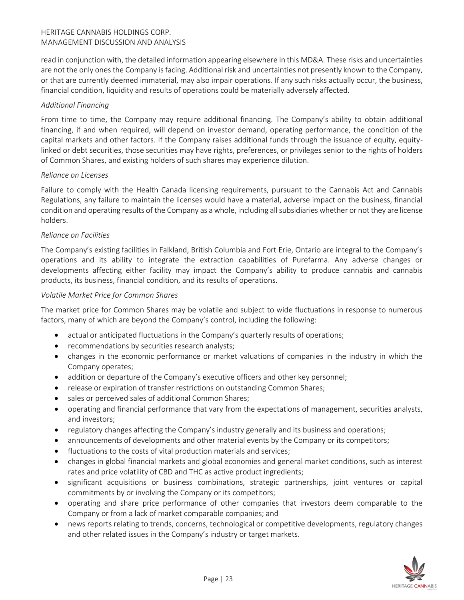read in conjunction with, the detailed information appearing elsewhere in this MD&A. These risks and uncertainties are not the only ones the Company is facing. Additional risk and uncertainties not presently known to the Company, or that are currently deemed immaterial, may also impair operations. If any such risks actually occur, the business, financial condition, liquidity and results of operations could be materially adversely affected.

#### *Additional Financing*

From time to time, the Company may require additional financing. The Company's ability to obtain additional financing, if and when required, will depend on investor demand, operating performance, the condition of the capital markets and other factors. If the Company raises additional funds through the issuance of equity, equitylinked or debt securities, those securities may have rights, preferences, or privileges senior to the rights of holders of Common Shares, and existing holders of such shares may experience dilution.

#### *Reliance on Licenses*

Failure to comply with the Health Canada licensing requirements, pursuant to the Cannabis Act and Cannabis Regulations, any failure to maintain the licenses would have a material, adverse impact on the business, financial condition and operating results of the Company as a whole, including all subsidiaries whether or not they are license holders.

# *Reliance on Facilities*

The Company's existing facilities in Falkland, British Columbia and Fort Erie, Ontario are integral to the Company's operations and its ability to integrate the extraction capabilities of Purefarma. Any adverse changes or developments affecting either facility may impact the Company's ability to produce cannabis and cannabis products, its business, financial condition, and its results of operations.

#### *Volatile Market Price for Common Shares*

The market price for Common Shares may be volatile and subject to wide fluctuations in response to numerous factors, many of which are beyond the Company's control, including the following:

- actual or anticipated fluctuations in the Company's quarterly results of operations;
- recommendations by securities research analysts;
- changes in the economic performance or market valuations of companies in the industry in which the Company operates;
- addition or departure of the Company's executive officers and other key personnel;
- release or expiration of transfer restrictions on outstanding Common Shares;
- sales or perceived sales of additional Common Shares;
- operating and financial performance that vary from the expectations of management, securities analysts, and investors;
- regulatory changes affecting the Company's industry generally and its business and operations;
- announcements of developments and other material events by the Company or its competitors;
- fluctuations to the costs of vital production materials and services;
- changes in global financial markets and global economies and general market conditions, such as interest rates and price volatility of CBD and THC as active product ingredients;
- significant acquisitions or business combinations, strategic partnerships, joint ventures or capital commitments by or involving the Company or its competitors;
- operating and share price performance of other companies that investors deem comparable to the Company or from a lack of market comparable companies; and
- news reports relating to trends, concerns, technological or competitive developments, regulatory changes and other related issues in the Company's industry or target markets.

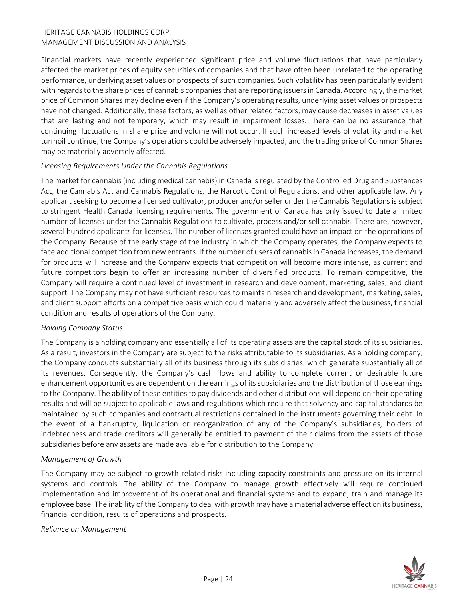Financial markets have recently experienced significant price and volume fluctuations that have particularly affected the market prices of equity securities of companies and that have often been unrelated to the operating performance, underlying asset values or prospects of such companies. Such volatility has been particularly evident with regards to the share prices of cannabis companies that are reporting issuers in Canada. Accordingly, the market price of Common Shares may decline even if the Company's operating results, underlying asset values or prospects have not changed. Additionally, these factors, as well as other related factors, may cause decreases in asset values that are lasting and not temporary, which may result in impairment losses. There can be no assurance that continuing fluctuations in share price and volume will not occur. If such increased levels of volatility and market turmoil continue, the Company's operations could be adversely impacted, and the trading price of Common Shares may be materially adversely affected.

#### *Licensing Requirements Under the Cannabis Regulations*

The market for cannabis (including medical cannabis) in Canada is regulated by the Controlled Drug and Substances Act, the Cannabis Act and Cannabis Regulations, the Narcotic Control Regulations, and other applicable law. Any applicant seeking to become a licensed cultivator, producer and/or seller under the Cannabis Regulations is subject to stringent Health Canada licensing requirements. The government of Canada has only issued to date a limited number of licenses under the Cannabis Regulations to cultivate, process and/or sell cannabis. There are, however, several hundred applicants for licenses. The number of licenses granted could have an impact on the operations of the Company. Because of the early stage of the industry in which the Company operates, the Company expects to face additional competition from new entrants. If the number of users of cannabis in Canada increases, the demand for products will increase and the Company expects that competition will become more intense, as current and future competitors begin to offer an increasing number of diversified products. To remain competitive, the Company will require a continued level of investment in research and development, marketing, sales, and client support. The Company may not have sufficient resources to maintain research and development, marketing, sales, and client support efforts on a competitive basis which could materially and adversely affect the business, financial condition and results of operations of the Company.

#### *Holding Company Status*

The Company is a holding company and essentially all of its operating assets are the capital stock of its subsidiaries. As a result, investors in the Company are subject to the risks attributable to its subsidiaries. As a holding company, the Company conducts substantially all of its business through its subsidiaries, which generate substantially all of its revenues. Consequently, the Company's cash flows and ability to complete current or desirable future enhancement opportunities are dependent on the earnings of its subsidiaries and the distribution of those earnings to the Company. The ability of these entities to pay dividends and other distributions will depend on their operating results and will be subject to applicable laws and regulations which require that solvency and capital standards be maintained by such companies and contractual restrictions contained in the instruments governing their debt. In the event of a bankruptcy, liquidation or reorganization of any of the Company's subsidiaries, holders of indebtedness and trade creditors will generally be entitled to payment of their claims from the assets of those subsidiaries before any assets are made available for distribution to the Company.

#### *Management of Growth*

The Company may be subject to growth-related risks including capacity constraints and pressure on its internal systems and controls. The ability of the Company to manage growth effectively will require continued implementation and improvement of its operational and financial systems and to expand, train and manage its employee base. The inability of the Company to deal with growth may have a material adverse effect on its business, financial condition, results of operations and prospects.

#### *Reliance on Management*

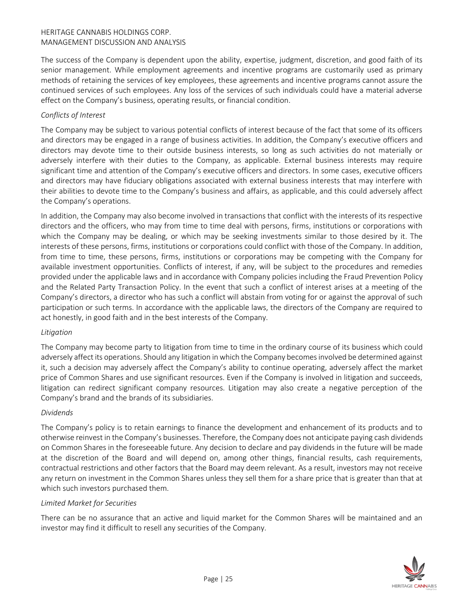The success of the Company is dependent upon the ability, expertise, judgment, discretion, and good faith of its senior management. While employment agreements and incentive programs are customarily used as primary methods of retaining the services of key employees, these agreements and incentive programs cannot assure the continued services of such employees. Any loss of the services of such individuals could have a material adverse effect on the Company's business, operating results, or financial condition.

# *Conflicts of Interest*

The Company may be subject to various potential conflicts of interest because of the fact that some of its officers and directors may be engaged in a range of business activities. In addition, the Company's executive officers and directors may devote time to their outside business interests, so long as such activities do not materially or adversely interfere with their duties to the Company, as applicable. External business interests may require significant time and attention of the Company's executive officers and directors. In some cases, executive officers and directors may have fiduciary obligations associated with external business interests that may interfere with their abilities to devote time to the Company's business and affairs, as applicable, and this could adversely affect the Company's operations.

In addition, the Company may also become involved in transactions that conflict with the interests of its respective directors and the officers, who may from time to time deal with persons, firms, institutions or corporations with which the Company may be dealing, or which may be seeking investments similar to those desired by it. The interests of these persons, firms, institutions or corporations could conflict with those of the Company. In addition, from time to time, these persons, firms, institutions or corporations may be competing with the Company for available investment opportunities. Conflicts of interest, if any, will be subject to the procedures and remedies provided under the applicable laws and in accordance with Company policies including the Fraud Prevention Policy and the Related Party Transaction Policy. In the event that such a conflict of interest arises at a meeting of the Company's directors, a director who has such a conflict will abstain from voting for or against the approval of such participation or such terms. In accordance with the applicable laws, the directors of the Company are required to act honestly, in good faith and in the best interests of the Company.

#### *Litigation*

The Company may become party to litigation from time to time in the ordinary course of its business which could adversely affect its operations. Should any litigation in which the Company becomes involved be determined against it, such a decision may adversely affect the Company's ability to continue operating, adversely affect the market price of Common Shares and use significant resources. Even if the Company is involved in litigation and succeeds, litigation can redirect significant company resources. Litigation may also create a negative perception of the Company's brand and the brands of its subsidiaries.

#### *Dividends*

The Company's policy is to retain earnings to finance the development and enhancement of its products and to otherwise reinvest in the Company's businesses. Therefore, the Company does not anticipate paying cash dividends on Common Shares in the foreseeable future. Any decision to declare and pay dividends in the future will be made at the discretion of the Board and will depend on, among other things, financial results, cash requirements, contractual restrictions and other factors that the Board may deem relevant. As a result, investors may not receive any return on investment in the Common Shares unless they sell them for a share price that is greater than that at which such investors purchased them.

#### *Limited Market for Securities*

There can be no assurance that an active and liquid market for the Common Shares will be maintained and an investor may find it difficult to resell any securities of the Company.

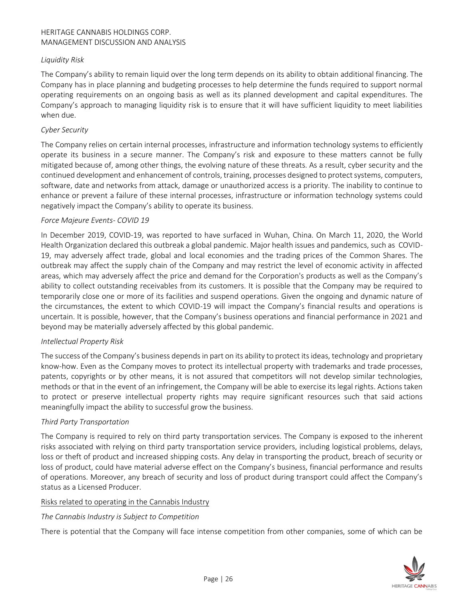#### *Liquidity Risk*

The Company's ability to remain liquid over the long term depends on its ability to obtain additional financing. The Company has in place planning and budgeting processes to help determine the funds required to support normal operating requirements on an ongoing basis as well as its planned development and capital expenditures. The Company's approach to managing liquidity risk is to ensure that it will have sufficient liquidity to meet liabilities when due.

#### *Cyber Security*

The Company relies on certain internal processes, infrastructure and information technology systems to efficiently operate its business in a secure manner. The Company's risk and exposure to these matters cannot be fully mitigated because of, among other things, the evolving nature of these threats. As a result, cyber security and the continued development and enhancement of controls, training, processes designed to protect systems, computers, software, date and networks from attack, damage or unauthorized access is a priority. The inability to continue to enhance or prevent a failure of these internal processes, infrastructure or information technology systems could negatively impact the Company's ability to operate its business.

#### *Force Majeure Events- COVID 19*

In December 2019, COVID-19, was reported to have surfaced in Wuhan, China. On March 11, 2020, the World Health Organization declared this outbreak a global pandemic. Major health issues and pandemics, such as COVID-19, may adversely affect trade, global and local economies and the trading prices of the Common Shares. The outbreak may affect the supply chain of the Company and may restrict the level of economic activity in affected areas, which may adversely affect the price and demand for the Corporation's products as well as the Company's ability to collect outstanding receivables from its customers. It is possible that the Company may be required to temporarily close one or more of its facilities and suspend operations. Given the ongoing and dynamic nature of the circumstances, the extent to which COVID-19 will impact the Company's financial results and operations is uncertain. It is possible, however, that the Company's business operations and financial performance in 2021 and beyond may be materially adversely affected by this global pandemic.

#### *Intellectual Property Risk*

The success of the Company's business depends in part on its ability to protect its ideas, technology and proprietary know-how. Even as the Company moves to protect its intellectual property with trademarks and trade processes, patents, copyrights or by other means, it is not assured that competitors will not develop similar technologies, methods or that in the event of an infringement, the Company will be able to exercise its legal rights. Actions taken to protect or preserve intellectual property rights may require significant resources such that said actions meaningfully impact the ability to successful grow the business.

#### *Third Party Transportation*

The Company is required to rely on third party transportation services. The Company is exposed to the inherent risks associated with relying on third party transportation service providers, including logistical problems, delays, loss or theft of product and increased shipping costs. Any delay in transporting the product, breach of security or loss of product, could have material adverse effect on the Company's business, financial performance and results of operations. Moreover, any breach of security and loss of product during transport could affect the Company's status as a Licensed Producer.

#### Risks related to operating in the Cannabis Industry

#### *The Cannabis Industry is Subject to Competition*

There is potential that the Company will face intense competition from other companies, some of which can be

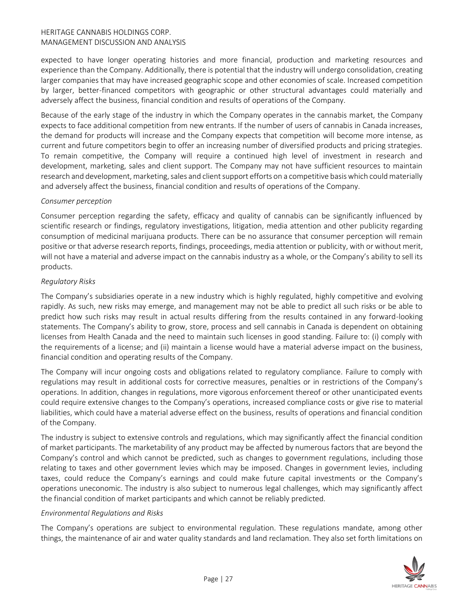expected to have longer operating histories and more financial, production and marketing resources and experience than the Company. Additionally, there is potential that the industry will undergo consolidation, creating larger companies that may have increased geographic scope and other economies of scale. Increased competition by larger, better-financed competitors with geographic or other structural advantages could materially and adversely affect the business, financial condition and results of operations of the Company.

Because of the early stage of the industry in which the Company operates in the cannabis market, the Company expects to face additional competition from new entrants. If the number of users of cannabis in Canada increases, the demand for products will increase and the Company expects that competition will become more intense, as current and future competitors begin to offer an increasing number of diversified products and pricing strategies. To remain competitive, the Company will require a continued high level of investment in research and development, marketing, sales and client support. The Company may not have sufficient resources to maintain research and development, marketing, sales and client support efforts on a competitive basis which could materially and adversely affect the business, financial condition and results of operations of the Company.

#### *Consumer perception*

Consumer perception regarding the safety, efficacy and quality of cannabis can be significantly influenced by scientific research or findings, regulatory investigations, litigation, media attention and other publicity regarding consumption of medicinal marijuana products. There can be no assurance that consumer perception will remain positive or that adverse research reports, findings, proceedings, media attention or publicity, with or without merit, will not have a material and adverse impact on the cannabis industry as a whole, or the Company's ability to sell its products.

#### *Regulatory Risks*

The Company's subsidiaries operate in a new industry which is highly regulated, highly competitive and evolving rapidly. As such, new risks may emerge, and management may not be able to predict all such risks or be able to predict how such risks may result in actual results differing from the results contained in any forward-looking statements. The Company's ability to grow, store, process and sell cannabis in Canada is dependent on obtaining licenses from Health Canada and the need to maintain such licenses in good standing. Failure to: (i) comply with the requirements of a license; and (ii) maintain a license would have a material adverse impact on the business, financial condition and operating results of the Company.

The Company will incur ongoing costs and obligations related to regulatory compliance. Failure to comply with regulations may result in additional costs for corrective measures, penalties or in restrictions of the Company's operations. In addition, changes in regulations, more vigorous enforcement thereof or other unanticipated events could require extensive changes to the Company's operations, increased compliance costs or give rise to material liabilities, which could have a material adverse effect on the business, results of operations and financial condition of the Company.

The industry is subject to extensive controls and regulations, which may significantly affect the financial condition of market participants. The marketability of any product may be affected by numerous factors that are beyond the Company's control and which cannot be predicted, such as changes to government regulations, including those relating to taxes and other government levies which may be imposed. Changes in government levies, including taxes, could reduce the Company's earnings and could make future capital investments or the Company's operations uneconomic. The industry is also subject to numerous legal challenges, which may significantly affect the financial condition of market participants and which cannot be reliably predicted.

#### *Environmental Regulations and Risks*

The Company's operations are subject to environmental regulation. These regulations mandate, among other things, the maintenance of air and water quality standards and land reclamation. They also set forth limitations on

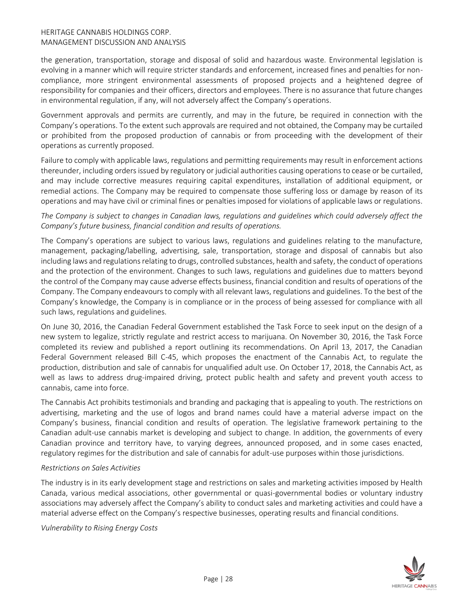the generation, transportation, storage and disposal of solid and hazardous waste. Environmental legislation is evolving in a manner which will require stricter standards and enforcement, increased fines and penalties for noncompliance, more stringent environmental assessments of proposed projects and a heightened degree of responsibility for companies and their officers, directors and employees. There is no assurance that future changes in environmental regulation, if any, will not adversely affect the Company's operations.

Government approvals and permits are currently, and may in the future, be required in connection with the Company's operations. To the extent such approvals are required and not obtained, the Company may be curtailed or prohibited from the proposed production of cannabis or from proceeding with the development of their operations as currently proposed.

Failure to comply with applicable laws, regulations and permitting requirements may result in enforcement actions thereunder, including orders issued by regulatory or judicial authorities causing operations to cease or be curtailed, and may include corrective measures requiring capital expenditures, installation of additional equipment, or remedial actions. The Company may be required to compensate those suffering loss or damage by reason of its operations and may have civil or criminal fines or penalties imposed for violations of applicable laws or regulations.

# *The Company is subject to changes in Canadian laws, regulations and guidelines which could adversely affect the Company's future business, financial condition and results of operations.*

The Company's operations are subject to various laws, regulations and guidelines relating to the manufacture, management, packaging/labelling, advertising, sale, transportation, storage and disposal of cannabis but also including laws and regulations relating to drugs, controlled substances, health and safety, the conduct of operations and the protection of the environment. Changes to such laws, regulations and guidelines due to matters beyond the control of the Company may cause adverse effects business, financial condition and results of operations of the Company. The Company endeavours to comply with all relevant laws, regulations and guidelines. To the best of the Company's knowledge, the Company is in compliance or in the process of being assessed for compliance with all such laws, regulations and guidelines.

On June 30, 2016, the Canadian Federal Government established the Task Force to seek input on the design of a new system to legalize, strictly regulate and restrict access to marijuana. On November 30, 2016, the Task Force completed its review and published a report outlining its recommendations. On April 13, 2017, the Canadian Federal Government released Bill C-45, which proposes the enactment of the Cannabis Act, to regulate the production, distribution and sale of cannabis for unqualified adult use. On October 17, 2018, the Cannabis Act, as well as laws to address drug-impaired driving, protect public health and safety and prevent youth access to cannabis, came into force.

The Cannabis Act prohibits testimonials and branding and packaging that is appealing to youth. The restrictions on advertising, marketing and the use of logos and brand names could have a material adverse impact on the Company's business, financial condition and results of operation. The legislative framework pertaining to the Canadian adult-use cannabis market is developing and subject to change. In addition, the governments of every Canadian province and territory have, to varying degrees, announced proposed, and in some cases enacted, regulatory regimes for the distribution and sale of cannabis for adult-use purposes within those jurisdictions.

#### *Restrictions on Sales Activities*

The industry is in its early development stage and restrictions on sales and marketing activities imposed by Health Canada, various medical associations, other governmental or quasi-governmental bodies or voluntary industry associations may adversely affect the Company's ability to conduct sales and marketing activities and could have a material adverse effect on the Company's respective businesses, operating results and financial conditions.

*Vulnerability to Rising Energy Costs*

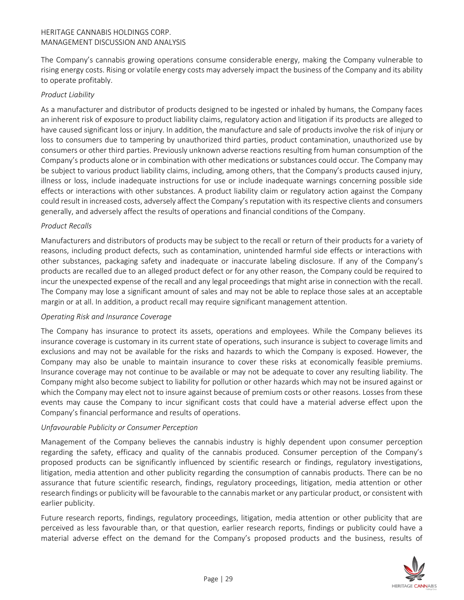The Company's cannabis growing operations consume considerable energy, making the Company vulnerable to rising energy costs. Rising or volatile energy costs may adversely impact the business of the Company and its ability to operate profitably.

#### *Product Liability*

As a manufacturer and distributor of products designed to be ingested or inhaled by humans, the Company faces an inherent risk of exposure to product liability claims, regulatory action and litigation if its products are alleged to have caused significant loss or injury. In addition, the manufacture and sale of products involve the risk of injury or loss to consumers due to tampering by unauthorized third parties, product contamination, unauthorized use by consumers or other third parties. Previously unknown adverse reactions resulting from human consumption of the Company's products alone or in combination with other medications or substances could occur. The Company may be subject to various product liability claims, including, among others, that the Company's products caused injury, illness or loss, include inadequate instructions for use or include inadequate warnings concerning possible side effects or interactions with other substances. A product liability claim or regulatory action against the Company could result in increased costs, adversely affect the Company's reputation with its respective clients and consumers generally, and adversely affect the results of operations and financial conditions of the Company.

#### *Product Recalls*

Manufacturers and distributors of products may be subject to the recall or return of their products for a variety of reasons, including product defects, such as contamination, unintended harmful side effects or interactions with other substances, packaging safety and inadequate or inaccurate labeling disclosure. If any of the Company's products are recalled due to an alleged product defect or for any other reason, the Company could be required to incur the unexpected expense of the recall and any legal proceedings that might arise in connection with the recall. The Company may lose a significant amount of sales and may not be able to replace those sales at an acceptable margin or at all. In addition, a product recall may require significant management attention.

#### *Operating Risk and Insurance Coverage*

The Company has insurance to protect its assets, operations and employees. While the Company believes its insurance coverage is customary in its current state of operations, such insurance is subject to coverage limits and exclusions and may not be available for the risks and hazards to which the Company is exposed. However, the Company may also be unable to maintain insurance to cover these risks at economically feasible premiums. Insurance coverage may not continue to be available or may not be adequate to cover any resulting liability. The Company might also become subject to liability for pollution or other hazards which may not be insured against or which the Company may elect not to insure against because of premium costs or other reasons. Losses from these events may cause the Company to incur significant costs that could have a material adverse effect upon the Company's financial performance and results of operations.

#### *Unfavourable Publicity or Consumer Perception*

Management of the Company believes the cannabis industry is highly dependent upon consumer perception regarding the safety, efficacy and quality of the cannabis produced. Consumer perception of the Company's proposed products can be significantly influenced by scientific research or findings, regulatory investigations, litigation, media attention and other publicity regarding the consumption of cannabis products. There can be no assurance that future scientific research, findings, regulatory proceedings, litigation, media attention or other research findings or publicity will be favourable to the cannabis market or any particular product, or consistent with earlier publicity.

Future research reports, findings, regulatory proceedings, litigation, media attention or other publicity that are perceived as less favourable than, or that question, earlier research reports, findings or publicity could have a material adverse effect on the demand for the Company's proposed products and the business, results of

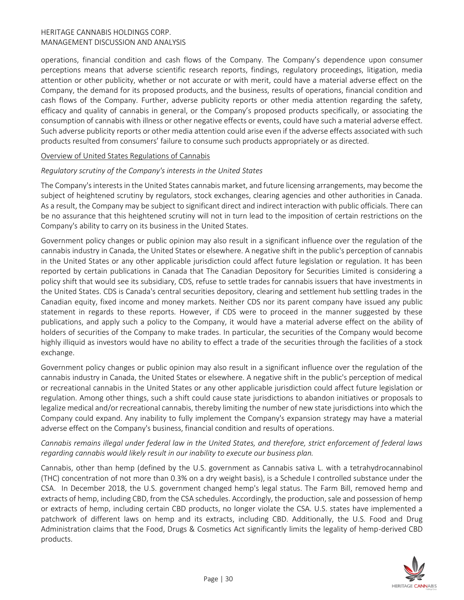operations, financial condition and cash flows of the Company. The Company's dependence upon consumer perceptions means that adverse scientific research reports, findings, regulatory proceedings, litigation, media attention or other publicity, whether or not accurate or with merit, could have a material adverse effect on the Company, the demand for its proposed products, and the business, results of operations, financial condition and cash flows of the Company. Further, adverse publicity reports or other media attention regarding the safety, efficacy and quality of cannabis in general, or the Company's proposed products specifically, or associating the consumption of cannabis with illness or other negative effects or events, could have such a material adverse effect. Such adverse publicity reports or other media attention could arise even if the adverse effects associated with such products resulted from consumers' failure to consume such products appropriately or as directed.

#### Overview of United States Regulations of Cannabis

#### *Regulatory scrutiny of the Company's interests in the United States*

The Company's interests in the United States cannabis market, and future licensing arrangements, may become the subject of heightened scrutiny by regulators, stock exchanges, clearing agencies and other authorities in Canada. As a result, the Company may be subject to significant direct and indirect interaction with public officials. There can be no assurance that this heightened scrutiny will not in turn lead to the imposition of certain restrictions on the Company's ability to carry on its business in the United States.

Government policy changes or public opinion may also result in a significant influence over the regulation of the cannabis industry in Canada, the United States or elsewhere. A negative shift in the public's perception of cannabis in the United States or any other applicable jurisdiction could affect future legislation or regulation. It has been reported by certain publications in Canada that The Canadian Depository for Securities Limited is considering a policy shift that would see its subsidiary, CDS, refuse to settle trades for cannabis issuers that have investments in the United States. CDS is Canada's central securities depository, clearing and settlement hub settling trades in the Canadian equity, fixed income and money markets. Neither CDS nor its parent company have issued any public statement in regards to these reports. However, if CDS were to proceed in the manner suggested by these publications, and apply such a policy to the Company, it would have a material adverse effect on the ability of holders of securities of the Company to make trades. In particular, the securities of the Company would become highly illiquid as investors would have no ability to effect a trade of the securities through the facilities of a stock exchange.

Government policy changes or public opinion may also result in a significant influence over the regulation of the cannabis industry in Canada, the United States or elsewhere. A negative shift in the public's perception of medical or recreational cannabis in the United States or any other applicable jurisdiction could affect future legislation or regulation. Among other things, such a shift could cause state jurisdictions to abandon initiatives or proposals to legalize medical and/or recreational cannabis, thereby limiting the number of new state jurisdictions into which the Company could expand. Any inability to fully implement the Company's expansion strategy may have a material adverse effect on the Company's business, financial condition and results of operations.

# *Cannabis remains illegal under federal law in the United States, and therefore, strict enforcement of federal laws regarding cannabis would likely result in our inability to execute our business plan.*

Cannabis, other than hemp (defined by the U.S. government as Cannabis sativa L. with a tetrahydrocannabinol (THC) concentration of not more than 0.3% on a dry weight basis), is a Schedule I controlled substance under the CSA. In December 2018, the U.S. government changed hemp's legal status. The Farm Bill, removed hemp and extracts of hemp, including CBD, from the CSA schedules. Accordingly, the production, sale and possession of hemp or extracts of hemp, including certain CBD products, no longer violate the CSA. U.S. states have implemented a patchwork of different laws on hemp and its extracts, including CBD. Additionally, the U.S. Food and Drug Administration claims that the Food, Drugs & Cosmetics Act significantly limits the legality of hemp-derived CBD products.

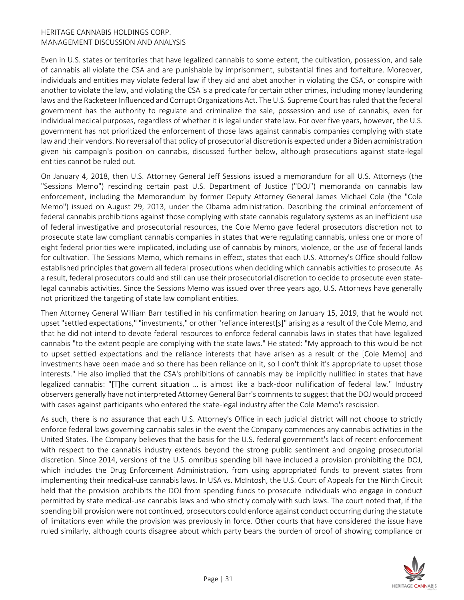Even in U.S. states or territories that have legalized cannabis to some extent, the cultivation, possession, and sale of cannabis all violate the CSA and are punishable by imprisonment, substantial fines and forfeiture. Moreover, individuals and entities may violate federal law if they aid and abet another in violating the CSA, or conspire with another to violate the law, and violating the CSA is a predicate for certain other crimes, including money laundering laws and the Racketeer Influenced and Corrupt Organizations Act. The U.S. Supreme Court has ruled that the federal government has the authority to regulate and criminalize the sale, possession and use of cannabis, even for individual medical purposes, regardless of whether it is legal under state law. For over five years, however, the U.S. government has not prioritized the enforcement of those laws against cannabis companies complying with state law and their vendors. No reversal of that policy of prosecutorial discretion is expected under a Biden administration given his campaign's position on cannabis, discussed further below, although prosecutions against state-legal entities cannot be ruled out.

On January 4, 2018, then U.S. Attorney General Jeff Sessions issued a memorandum for all U.S. Attorneys (the "Sessions Memo") rescinding certain past U.S. Department of Justice ("DOJ") memoranda on cannabis law enforcement, including the Memorandum by former Deputy Attorney General James Michael Cole (the "Cole Memo") issued on August 29, 2013, under the Obama administration. Describing the criminal enforcement of federal cannabis prohibitions against those complying with state cannabis regulatory systems as an inefficient use of federal investigative and prosecutorial resources, the Cole Memo gave federal prosecutors discretion not to prosecute state law compliant cannabis companies in states that were regulating cannabis, unless one or more of eight federal priorities were implicated, including use of cannabis by minors, violence, or the use of federal lands for cultivation. The Sessions Memo, which remains in effect, states that each U.S. Attorney's Office should follow established principles that govern all federal prosecutions when deciding which cannabis activities to prosecute. As a result, federal prosecutors could and still can use their prosecutorial discretion to decide to prosecute even statelegal cannabis activities. Since the Sessions Memo was issued over three years ago, U.S. Attorneys have generally not prioritized the targeting of state law compliant entities.

Then Attorney General William Barr testified in his confirmation hearing on January 15, 2019, that he would not upset "settled expectations," "investments," or other "reliance interest[s]" arising as a result of the Cole Memo, and that he did not intend to devote federal resources to enforce federal cannabis laws in states that have legalized cannabis "to the extent people are complying with the state laws." He stated: "My approach to this would be not to upset settled expectations and the reliance interests that have arisen as a result of the [Cole Memo] and investments have been made and so there has been reliance on it, so I don't think it's appropriate to upset those interests." He also implied that the CSA's prohibitions of cannabis may be implicitly nullified in states that have legalized cannabis: "[T]he current situation … is almost like a back-door nullification of federal law." Industry observers generally have not interpreted Attorney General Barr's comments to suggest that the DOJ would proceed with cases against participants who entered the state-legal industry after the Cole Memo's rescission.

As such, there is no assurance that each U.S. Attorney's Office in each judicial district will not choose to strictly enforce federal laws governing cannabis sales in the event the Company commences any cannabis activities in the United States. The Company believes that the basis for the U.S. federal government's lack of recent enforcement with respect to the cannabis industry extends beyond the strong public sentiment and ongoing prosecutorial discretion. Since 2014, versions of the U.S. omnibus spending bill have included a provision prohibiting the DOJ, which includes the Drug Enforcement Administration, from using appropriated funds to prevent states from implementing their medical-use cannabis laws. In USA vs. McIntosh, the U.S. Court of Appeals for the Ninth Circuit held that the provision prohibits the DOJ from spending funds to prosecute individuals who engage in conduct permitted by state medical-use cannabis laws and who strictly comply with such laws. The court noted that, if the spending bill provision were not continued, prosecutors could enforce against conduct occurring during the statute of limitations even while the provision was previously in force. Other courts that have considered the issue have ruled similarly, although courts disagree about which party bears the burden of proof of showing compliance or

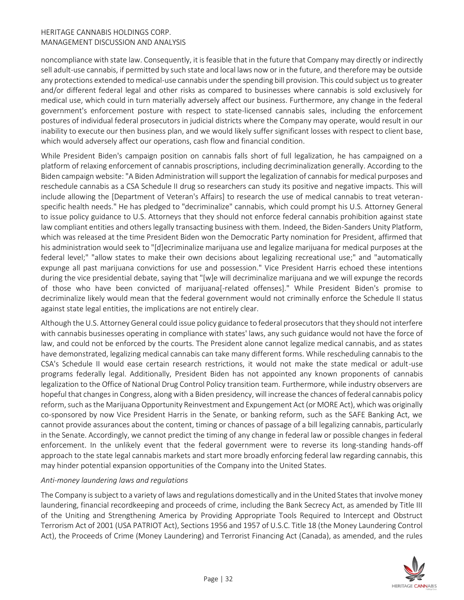noncompliance with state law. Consequently, it is feasible that in the future that Company may directly or indirectly sell adult-use cannabis, if permitted by such state and local laws now or in the future, and therefore may be outside any protections extended to medical-use cannabis under the spending bill provision. This could subject us to greater and/or different federal legal and other risks as compared to businesses where cannabis is sold exclusively for medical use, which could in turn materially adversely affect our business. Furthermore, any change in the federal government's enforcement posture with respect to state-licensed cannabis sales, including the enforcement postures of individual federal prosecutors in judicial districts where the Company may operate, would result in our inability to execute our then business plan, and we would likely suffer significant losses with respect to client base, which would adversely affect our operations, cash flow and financial condition.

While President Biden's campaign position on cannabis falls short of full legalization, he has campaigned on a platform of relaxing enforcement of cannabis proscriptions, including decriminalization generally. According to the Biden campaign website: "A Biden Administration will support the legalization of cannabis for medical purposes and reschedule cannabis as a CSA Schedule II drug so researchers can study its positive and negative impacts. This will include allowing the [Department of Veteran's Affairs] to research the use of medical cannabis to treat veteranspecific health needs." He has pledged to "decriminalize" cannabis, which could prompt his U.S. Attorney General to issue policy guidance to U.S. Attorneys that they should not enforce federal cannabis prohibition against state law compliant entities and others legally transacting business with them. Indeed, the Biden-Sanders Unity Platform, which was released at the time President Biden won the Democratic Party nomination for President, affirmed that his administration would seek to "[d]ecriminalize marijuana use and legalize marijuana for medical purposes at the federal level;" "allow states to make their own decisions about legalizing recreational use;" and "automatically expunge all past marijuana convictions for use and possession." Vice President Harris echoed these intentions during the vice presidential debate, saying that "[w]e will decriminalize marijuana and we will expunge the records of those who have been convicted of marijuana[-related offenses]." While President Biden's promise to decriminalize likely would mean that the federal government would not criminally enforce the Schedule II status against state legal entities, the implications are not entirely clear.

Although the U.S. Attorney General could issue policy guidance to federal prosecutors that they should not interfere with cannabis businesses operating in compliance with states' laws, any such guidance would not have the force of law, and could not be enforced by the courts. The President alone cannot legalize medical cannabis, and as states have demonstrated, legalizing medical cannabis can take many different forms. While rescheduling cannabis to the CSA's Schedule II would ease certain research restrictions, it would not make the state medical or adult-use programs federally legal. Additionally, President Biden has not appointed any known proponents of cannabis legalization to the Office of National Drug Control Policy transition team. Furthermore, while industry observers are hopeful that changes in Congress, along with a Biden presidency, will increase the chances of federal cannabis policy reform, such as the Marijuana Opportunity Reinvestment and Expungement Act (or MORE Act), which was originally co-sponsored by now Vice President Harris in the Senate, or banking reform, such as the SAFE Banking Act, we cannot provide assurances about the content, timing or chances of passage of a bill legalizing cannabis, particularly in the Senate. Accordingly, we cannot predict the timing of any change in federal law or possible changes in federal enforcement. In the unlikely event that the federal government were to reverse its long-standing hands-off approach to the state legal cannabis markets and start more broadly enforcing federal law regarding cannabis, this may hinder potential expansion opportunities of the Company into the United States.

#### *Anti-money laundering laws and regulations*

The Company is subject to a variety of laws and regulations domestically and in the United States that involve money laundering, financial recordkeeping and proceeds of crime, including the Bank Secrecy Act, as amended by Title III of the Uniting and Strengthening America by Providing Appropriate Tools Required to Intercept and Obstruct Terrorism Act of 2001 (USA PATRIOT Act), Sections 1956 and 1957 of U.S.C. Title 18 (the Money Laundering Control Act), the Proceeds of Crime (Money Laundering) and Terrorist Financing Act (Canada), as amended, and the rules